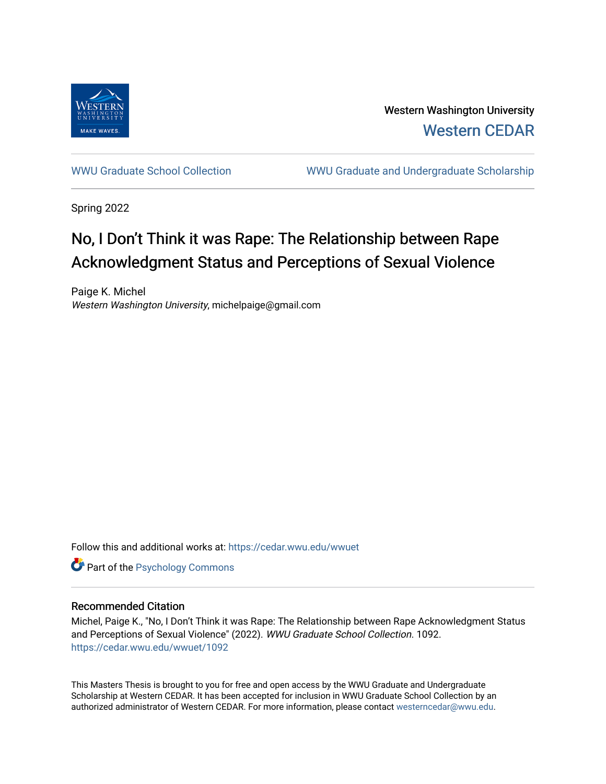

Western Washington University [Western CEDAR](https://cedar.wwu.edu/) 

[WWU Graduate School Collection](https://cedar.wwu.edu/wwuet) WWU Graduate and Undergraduate Scholarship

Spring 2022

# No, I Don't Think it was Rape: The Relationship between Rape Acknowledgment Status and Perceptions of Sexual Violence

Paige K. Michel Western Washington University, michelpaige@gmail.com

Follow this and additional works at: [https://cedar.wwu.edu/wwuet](https://cedar.wwu.edu/wwuet?utm_source=cedar.wwu.edu%2Fwwuet%2F1092&utm_medium=PDF&utm_campaign=PDFCoverPages)



### Recommended Citation

Michel, Paige K., "No, I Don't Think it was Rape: The Relationship between Rape Acknowledgment Status and Perceptions of Sexual Violence" (2022). WWU Graduate School Collection. 1092. [https://cedar.wwu.edu/wwuet/1092](https://cedar.wwu.edu/wwuet/1092?utm_source=cedar.wwu.edu%2Fwwuet%2F1092&utm_medium=PDF&utm_campaign=PDFCoverPages) 

This Masters Thesis is brought to you for free and open access by the WWU Graduate and Undergraduate Scholarship at Western CEDAR. It has been accepted for inclusion in WWU Graduate School Collection by an authorized administrator of Western CEDAR. For more information, please contact [westerncedar@wwu.edu.](mailto:westerncedar@wwu.edu)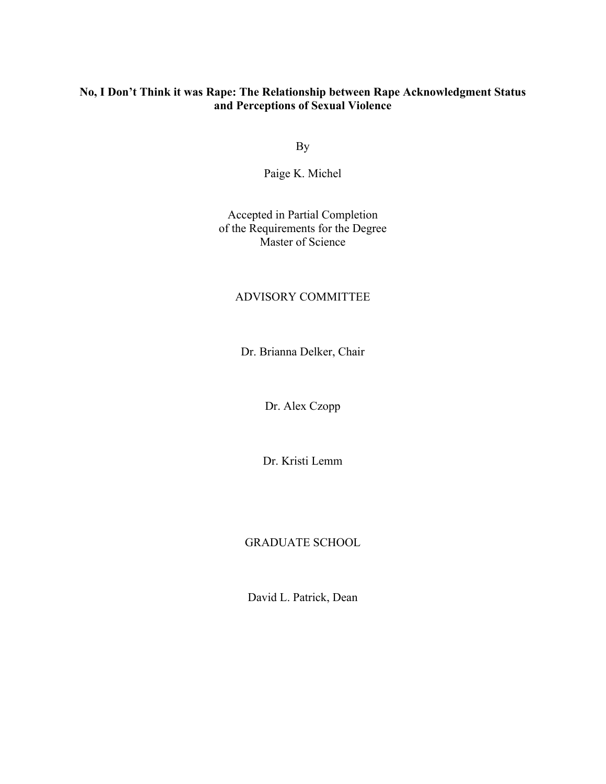## **No, I Don't Think it was Rape: The Relationship between Rape Acknowledgment Status and Perceptions of Sexual Violence**

By

Paige K. Michel

Accepted in Partial Completion of the Requirements for the Degree Master of Science

### ADVISORY COMMITTEE

Dr. Brianna Delker, Chair

Dr. Alex Czopp

Dr. Kristi Lemm

### GRADUATE SCHOOL

David L. Patrick, Dean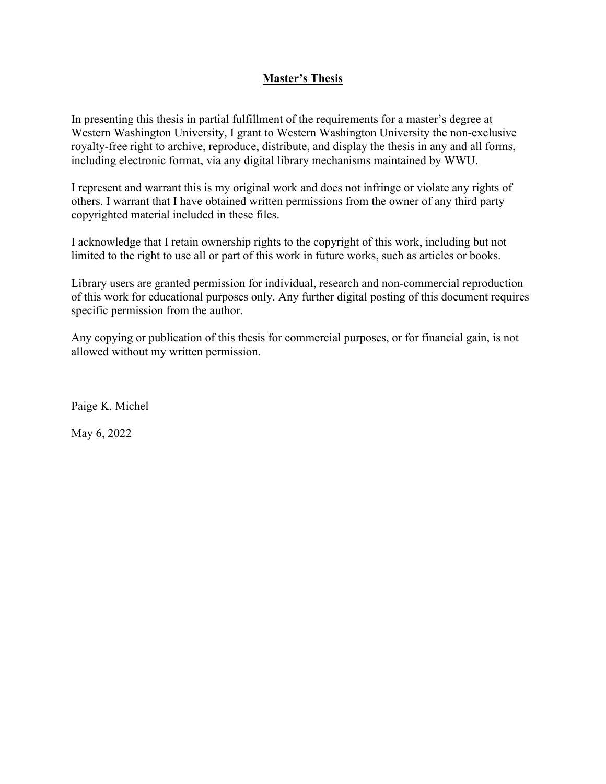## **Master's Thesis**

In presenting this thesis in partial fulfillment of the requirements for a master's degree at Western Washington University, I grant to Western Washington University the non-exclusive royalty-free right to archive, reproduce, distribute, and display the thesis in any and all forms, including electronic format, via any digital library mechanisms maintained by WWU.

I represent and warrant this is my original work and does not infringe or violate any rights of others. I warrant that I have obtained written permissions from the owner of any third party copyrighted material included in these files.

I acknowledge that I retain ownership rights to the copyright of this work, including but not limited to the right to use all or part of this work in future works, such as articles or books.

Library users are granted permission for individual, research and non-commercial reproduction of this work for educational purposes only. Any further digital posting of this document requires specific permission from the author.

Any copying or publication of this thesis for commercial purposes, or for financial gain, is not allowed without my written permission.

Paige K. Michel

May 6, 2022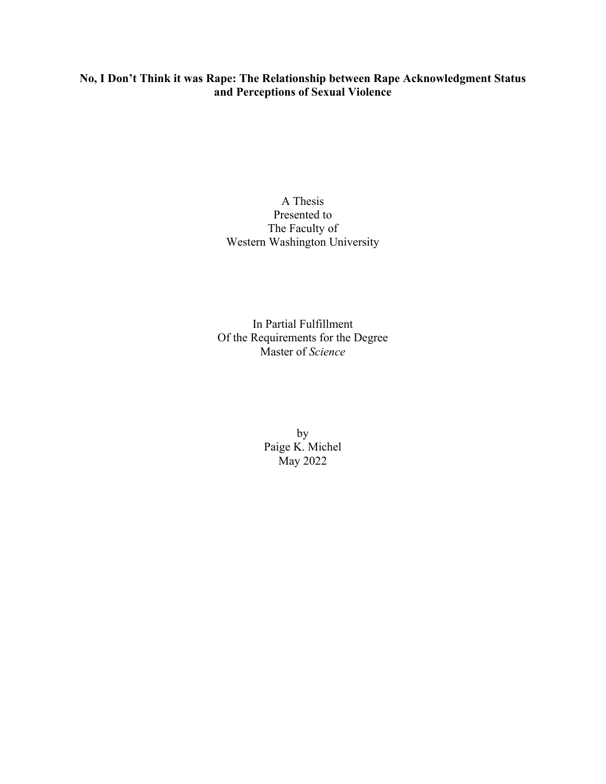## **No, I Don't Think it was Rape: The Relationship between Rape Acknowledgment Status and Perceptions of Sexual Violence**

## A Thesis Presented to The Faculty of Western Washington University

In Partial Fulfillment Of the Requirements for the Degree Master of *Science*

> by Paige K. Michel May 2022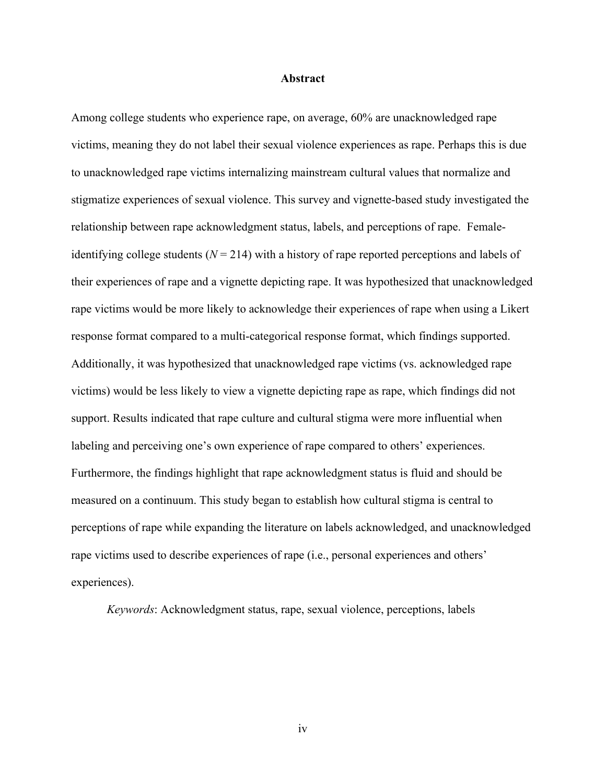#### **Abstract**

Among college students who experience rape, on average, 60% are unacknowledged rape victims, meaning they do not label their sexual violence experiences as rape. Perhaps this is due to unacknowledged rape victims internalizing mainstream cultural values that normalize and stigmatize experiences of sexual violence. This survey and vignette-based study investigated the relationship between rape acknowledgment status, labels, and perceptions of rape. Femaleidentifying college students (*N* = 214) with a history of rape reported perceptions and labels of their experiences of rape and a vignette depicting rape. It was hypothesized that unacknowledged rape victims would be more likely to acknowledge their experiences of rape when using a Likert response format compared to a multi-categorical response format, which findings supported. Additionally, it was hypothesized that unacknowledged rape victims (vs. acknowledged rape victims) would be less likely to view a vignette depicting rape as rape, which findings did not support. Results indicated that rape culture and cultural stigma were more influential when labeling and perceiving one's own experience of rape compared to others' experiences. Furthermore, the findings highlight that rape acknowledgment status is fluid and should be measured on a continuum. This study began to establish how cultural stigma is central to perceptions of rape while expanding the literature on labels acknowledged, and unacknowledged rape victims used to describe experiences of rape (i.e., personal experiences and others' experiences).

*Keywords*: Acknowledgment status, rape, sexual violence, perceptions, labels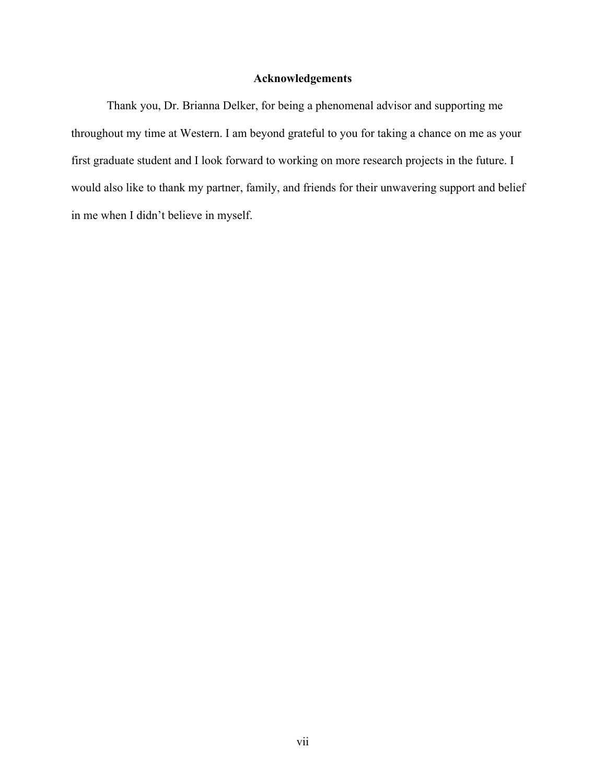## **Acknowledgements**

Thank you, Dr. Brianna Delker, for being a phenomenal advisor and supporting me throughout my time at Western. I am beyond grateful to you for taking a chance on me as your first graduate student and I look forward to working on more research projects in the future. I would also like to thank my partner, family, and friends for their unwavering support and belief in me when I didn't believe in myself.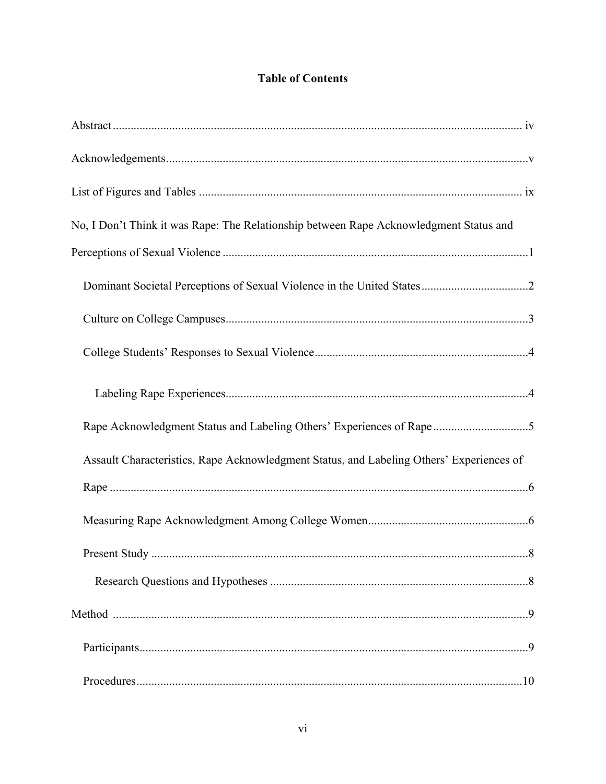# **Table of Contents**

| No, I Don't Think it was Rape: The Relationship between Rape Acknowledgment Status and   |
|------------------------------------------------------------------------------------------|
|                                                                                          |
|                                                                                          |
|                                                                                          |
|                                                                                          |
|                                                                                          |
| Rape Acknowledgment Status and Labeling Others' Experiences of Rape 5                    |
| Assault Characteristics, Rape Acknowledgment Status, and Labeling Others' Experiences of |
|                                                                                          |
|                                                                                          |
|                                                                                          |
|                                                                                          |
|                                                                                          |
|                                                                                          |
|                                                                                          |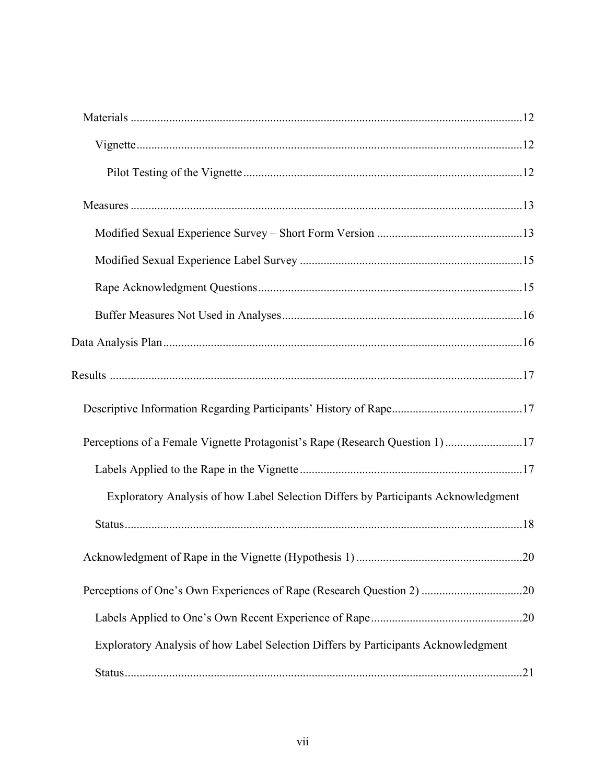| Perceptions of a Female Vignette Protagonist's Rape (Research Question 1) 17       |  |
|------------------------------------------------------------------------------------|--|
|                                                                                    |  |
| Exploratory Analysis of how Label Selection Differs by Participants Acknowledgment |  |
|                                                                                    |  |
|                                                                                    |  |
| Perceptions of One's Own Experiences of Rape (Research Question 2) 20              |  |
|                                                                                    |  |
| Exploratory Analysis of how Label Selection Differs by Participants Acknowledgment |  |
|                                                                                    |  |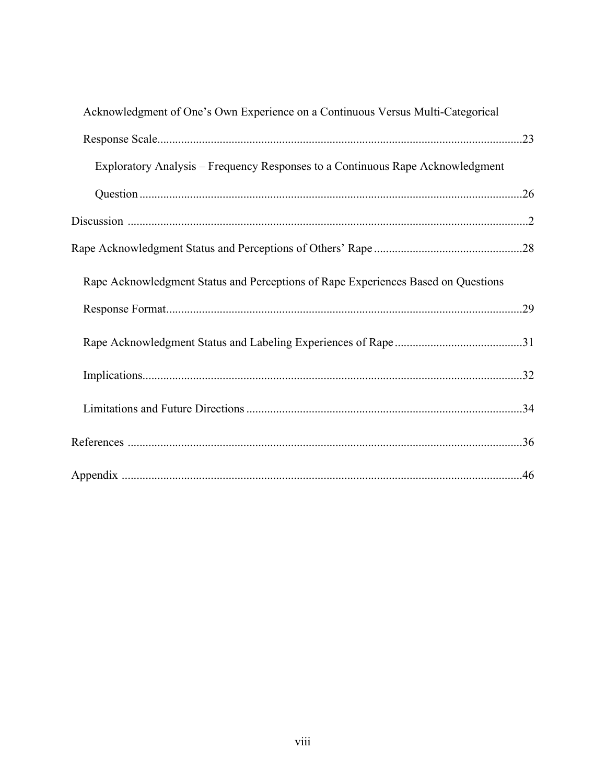| Acknowledgment of One's Own Experience on a Continuous Versus Multi-Categorical   |
|-----------------------------------------------------------------------------------|
|                                                                                   |
| Exploratory Analysis – Frequency Responses to a Continuous Rape Acknowledgment    |
|                                                                                   |
|                                                                                   |
|                                                                                   |
| Rape Acknowledgment Status and Perceptions of Rape Experiences Based on Questions |
|                                                                                   |
|                                                                                   |
|                                                                                   |
|                                                                                   |
|                                                                                   |
|                                                                                   |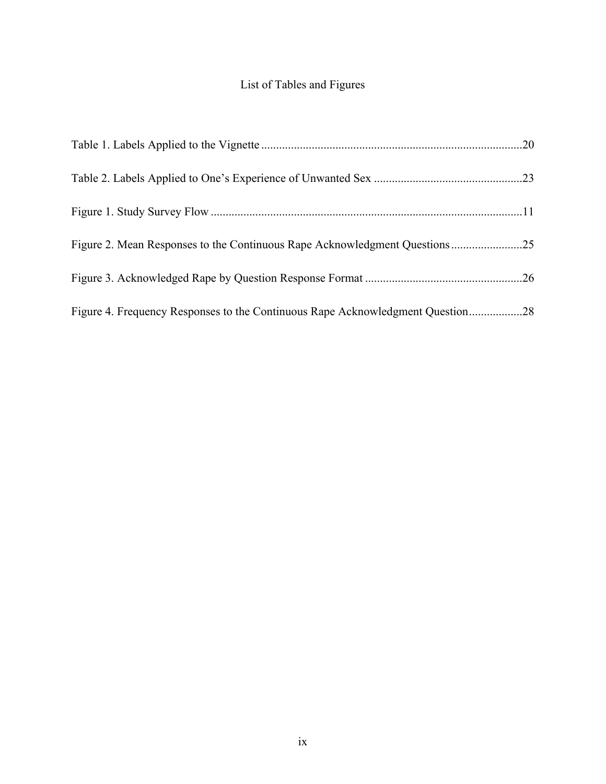# List of Tables and Figures

| Figure 2. Mean Responses to the Continuous Rape Acknowledgment Questions25     |  |
|--------------------------------------------------------------------------------|--|
|                                                                                |  |
| Figure 4. Frequency Responses to the Continuous Rape Acknowledgment Question28 |  |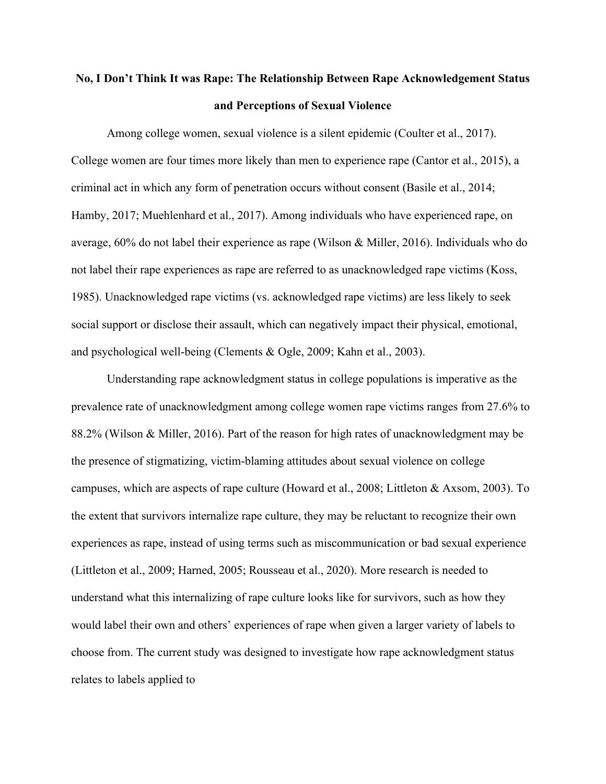# **No, I Don't Think It was Rape: The Relationship Between Rape Acknowledgement Status and Perceptions of Sexual Violence**

Among college women, sexual violence is a silent epidemic (Coulter et al., 2017). College women are four times more likely than men to experience rape (Cantor et al., 2015), a criminal act in which any form of penetration occurs without consent (Basile et al., 2014; Hamby, 2017; Muehlenhard et al., 2017). Among individuals who have experienced rape, on average, 60% do not label their experience as rape (Wilson & Miller, 2016). Individuals who do not label their rape experiences as rape are referred to as unacknowledged rape victims (Koss, 1985). Unacknowledged rape victims (vs. acknowledged rape victims) are less likely to seek social support or disclose their assault, which can negatively impact their physical, emotional, and psychological well-being (Clements & Ogle, 2009; Kahn et al., 2003).

Understanding rape acknowledgment status in college populations is imperative as the prevalence rate of unacknowledgment among college women rape victims ranges from 27.6% to 88.2% (Wilson & Miller, 2016). Part of the reason for high rates of unacknowledgment may be the presence of stigmatizing, victim-blaming attitudes about sexual violence on college campuses, which are aspects of rape culture (Howard et al., 2008; Littleton & Axsom, 2003). To the extent that survivors internalize rape culture, they may be reluctant to recognize their own experiences as rape, instead of using terms such as miscommunication or bad sexual experience (Littleton et al., 2009; Harned, 2005; Rousseau et al., 2020). More research is needed to understand what this internalizing of rape culture looks like for survivors, such as how they would label their own and others' experiences of rape when given a larger variety of labels to choose from. The current study was designed to investigate how rape acknowledgment status relates to labels applied to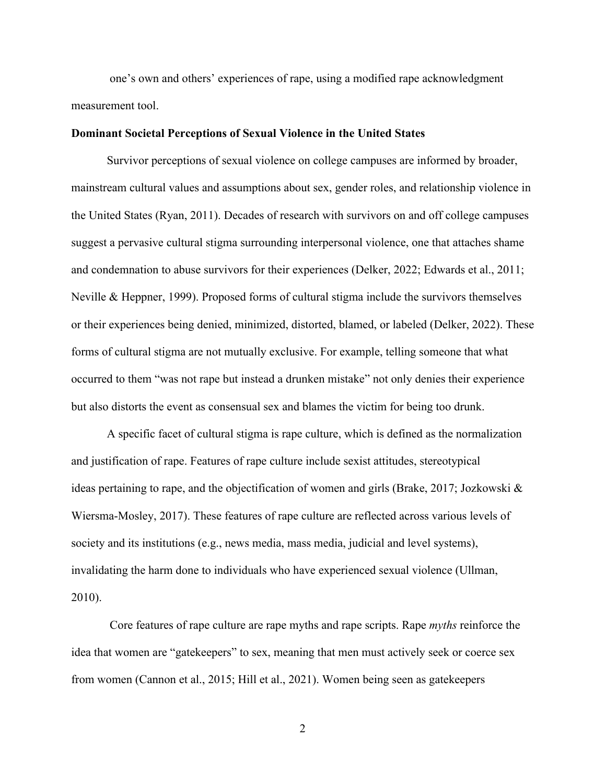one's own and others' experiences of rape, using a modified rape acknowledgment measurement tool.

#### **Dominant Societal Perceptions of Sexual Violence in the United States**

Survivor perceptions of sexual violence on college campuses are informed by broader, mainstream cultural values and assumptions about sex, gender roles, and relationship violence in the United States (Ryan, 2011). Decades of research with survivors on and off college campuses suggest a pervasive cultural stigma surrounding interpersonal violence, one that attaches shame and condemnation to abuse survivors for their experiences (Delker, 2022; Edwards et al., 2011; Neville & Heppner, 1999). Proposed forms of cultural stigma include the survivors themselves or their experiences being denied, minimized, distorted, blamed, or labeled (Delker, 2022). These forms of cultural stigma are not mutually exclusive. For example, telling someone that what occurred to them "was not rape but instead a drunken mistake" not only denies their experience but also distorts the event as consensual sex and blames the victim for being too drunk.

A specific facet of cultural stigma is rape culture, which is defined as the normalization and justification of rape. Features of rape culture include sexist attitudes, stereotypical ideas pertaining to rape, and the objectification of women and girls (Brake, 2017; Jozkowski & Wiersma-Mosley, 2017). These features of rape culture are reflected across various levels of society and its institutions (e.g., news media, mass media, judicial and level systems), invalidating the harm done to individuals who have experienced sexual violence (Ullman, 2010).

Core features of rape culture are rape myths and rape scripts. Rape *myths* reinforce the idea that women are "gatekeepers" to sex, meaning that men must actively seek or coerce sex from women (Cannon et al., 2015; Hill et al., 2021). Women being seen as gatekeepers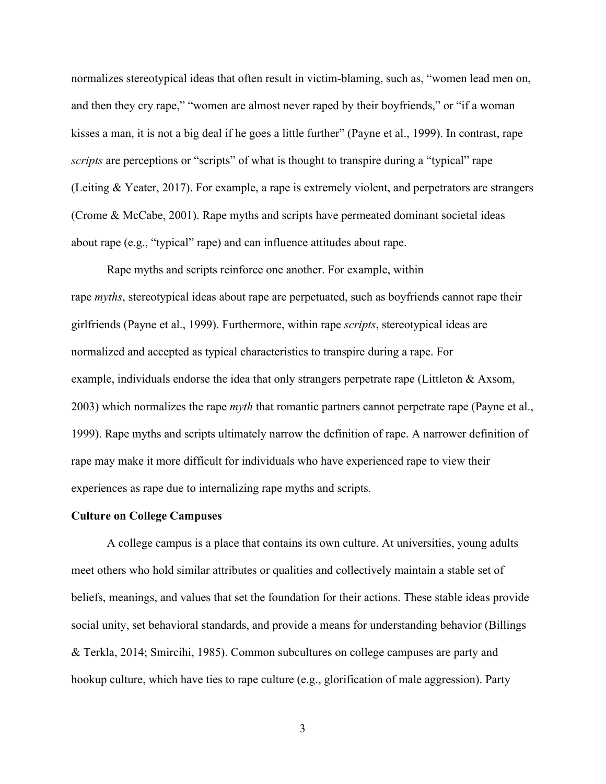normalizes stereotypical ideas that often result in victim-blaming, such as, "women lead men on, and then they cry rape," "women are almost never raped by their boyfriends," or "if a woman kisses a man, it is not a big deal if he goes a little further" (Payne et al., 1999). In contrast, rape *scripts* are perceptions or "scripts" of what is thought to transpire during a "typical" rape (Leiting & Yeater, 2017). For example, a rape is extremely violent, and perpetrators are strangers (Crome & McCabe, 2001). Rape myths and scripts have permeated dominant societal ideas about rape (e.g., "typical" rape) and can influence attitudes about rape.

Rape myths and scripts reinforce one another. For example, within rape *myths*, stereotypical ideas about rape are perpetuated, such as boyfriends cannot rape their girlfriends (Payne et al., 1999). Furthermore, within rape *scripts*, stereotypical ideas are normalized and accepted as typical characteristics to transpire during a rape. For example, individuals endorse the idea that only strangers perpetrate rape (Littleton & Axsom, 2003) which normalizes the rape *myth* that romantic partners cannot perpetrate rape (Payne et al., 1999). Rape myths and scripts ultimately narrow the definition of rape. A narrower definition of rape may make it more difficult for individuals who have experienced rape to view their experiences as rape due to internalizing rape myths and scripts.

#### **Culture on College Campuses**

A college campus is a place that contains its own culture. At universities, young adults meet others who hold similar attributes or qualities and collectively maintain a stable set of beliefs, meanings, and values that set the foundation for their actions. These stable ideas provide social unity, set behavioral standards, and provide a means for understanding behavior (Billings & Terkla, 2014; Smircihi, 1985). Common subcultures on college campuses are party and hookup culture, which have ties to rape culture (e.g., glorification of male aggression). Party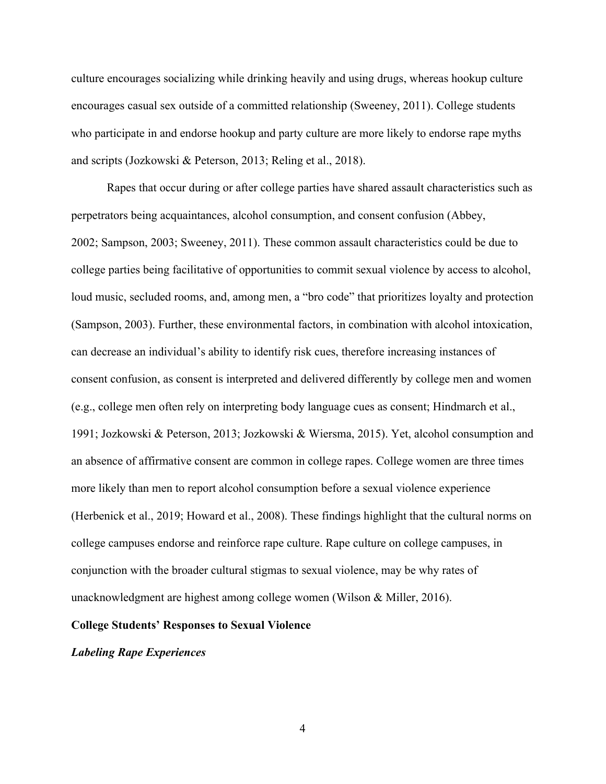culture encourages socializing while drinking heavily and using drugs, whereas hookup culture encourages casual sex outside of a committed relationship (Sweeney, 2011). College students who participate in and endorse hookup and party culture are more likely to endorse rape myths and scripts (Jozkowski & Peterson, 2013; Reling et al., 2018).

Rapes that occur during or after college parties have shared assault characteristics such as perpetrators being acquaintances, alcohol consumption, and consent confusion (Abbey, 2002; Sampson, 2003; Sweeney, 2011). These common assault characteristics could be due to college parties being facilitative of opportunities to commit sexual violence by access to alcohol, loud music, secluded rooms, and, among men, a "bro code" that prioritizes loyalty and protection (Sampson, 2003). Further, these environmental factors, in combination with alcohol intoxication, can decrease an individual's ability to identify risk cues, therefore increasing instances of consent confusion, as consent is interpreted and delivered differently by college men and women (e.g., college men often rely on interpreting body language cues as consent; Hindmarch et al., 1991; Jozkowski & Peterson, 2013; Jozkowski & Wiersma, 2015). Yet, alcohol consumption and an absence of affirmative consent are common in college rapes. College women are three times more likely than men to report alcohol consumption before a sexual violence experience (Herbenick et al., 2019; Howard et al., 2008). These findings highlight that the cultural norms on college campuses endorse and reinforce rape culture. Rape culture on college campuses, in conjunction with the broader cultural stigmas to sexual violence, may be why rates of unacknowledgment are highest among college women (Wilson & Miller, 2016).

#### **College Students' Responses to Sexual Violence**

#### *Labeling Rape Experiences*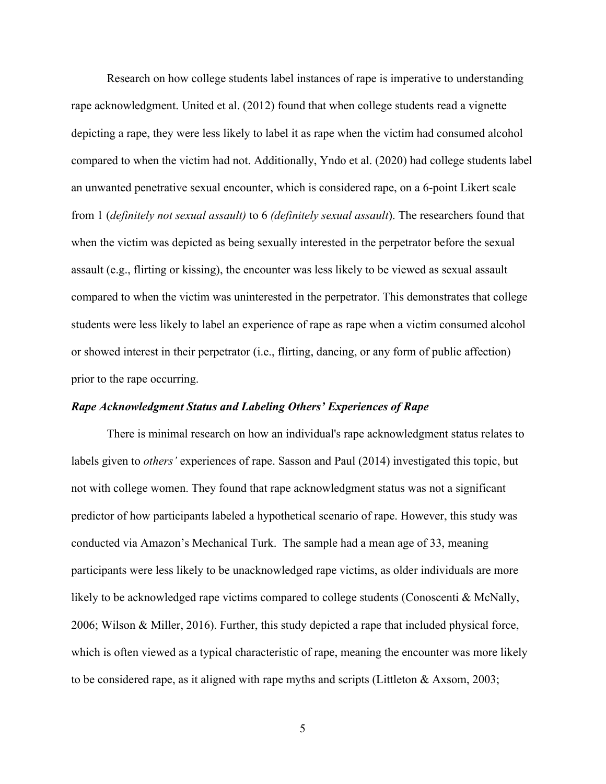Research on how college students label instances of rape is imperative to understanding rape acknowledgment. United et al. (2012) found that when college students read a vignette depicting a rape, they were less likely to label it as rape when the victim had consumed alcohol compared to when the victim had not. Additionally, Yndo et al. (2020) had college students label an unwanted penetrative sexual encounter, which is considered rape, on a 6-point Likert scale from 1 (*definitely not sexual assault)* to 6 *(definitely sexual assault*). The researchers found that when the victim was depicted as being sexually interested in the perpetrator before the sexual assault (e.g., flirting or kissing), the encounter was less likely to be viewed as sexual assault compared to when the victim was uninterested in the perpetrator. This demonstrates that college students were less likely to label an experience of rape as rape when a victim consumed alcohol or showed interest in their perpetrator (i.e., flirting, dancing, or any form of public affection) prior to the rape occurring.

#### *Rape Acknowledgment Status and Labeling Others' Experiences of Rape*

There is minimal research on how an individual's rape acknowledgment status relates to labels given to *others'* experiences of rape. Sasson and Paul (2014) investigated this topic, but not with college women. They found that rape acknowledgment status was not a significant predictor of how participants labeled a hypothetical scenario of rape. However, this study was conducted via Amazon's Mechanical Turk. The sample had a mean age of 33, meaning participants were less likely to be unacknowledged rape victims, as older individuals are more likely to be acknowledged rape victims compared to college students (Conoscenti & McNally, 2006; Wilson & Miller, 2016). Further, this study depicted a rape that included physical force, which is often viewed as a typical characteristic of rape, meaning the encounter was more likely to be considered rape, as it aligned with rape myths and scripts (Littleton & Axsom, 2003;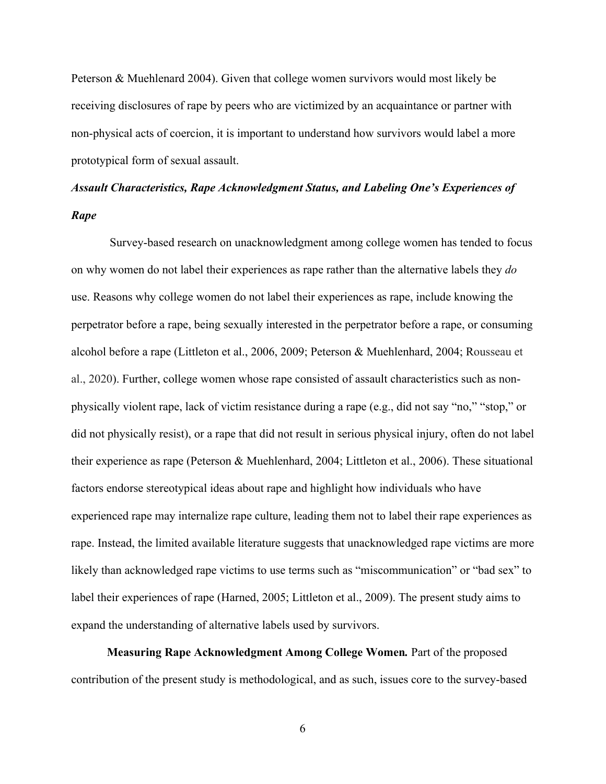Peterson & Muehlenard 2004). Given that college women survivors would most likely be receiving disclosures of rape by peers who are victimized by an acquaintance or partner with non-physical acts of coercion, it is important to understand how survivors would label a more prototypical form of sexual assault.

# *Assault Characteristics, Rape Acknowledgment Status, and Labeling One's Experiences of Rape*

Survey-based research on unacknowledgment among college women has tended to focus on why women do not label their experiences as rape rather than the alternative labels they *do* use. Reasons why college women do not label their experiences as rape, include knowing the perpetrator before a rape, being sexually interested in the perpetrator before a rape, or consuming alcohol before a rape (Littleton et al., 2006, 2009; Peterson & Muehlenhard, 2004; Rousseau et al., 2020). Further, college women whose rape consisted of assault characteristics such as nonphysically violent rape, lack of victim resistance during a rape (e.g., did not say "no," "stop," or did not physically resist), or a rape that did not result in serious physical injury, often do not label their experience as rape (Peterson & Muehlenhard, 2004; Littleton et al., 2006). These situational factors endorse stereotypical ideas about rape and highlight how individuals who have experienced rape may internalize rape culture, leading them not to label their rape experiences as rape. Instead, the limited available literature suggests that unacknowledged rape victims are more likely than acknowledged rape victims to use terms such as "miscommunication" or "bad sex" to label their experiences of rape (Harned, 2005; Littleton et al., 2009). The present study aims to expand the understanding of alternative labels used by survivors.

**Measuring Rape Acknowledgment Among College Women***.* Part of the proposed contribution of the present study is methodological, and as such, issues core to the survey-based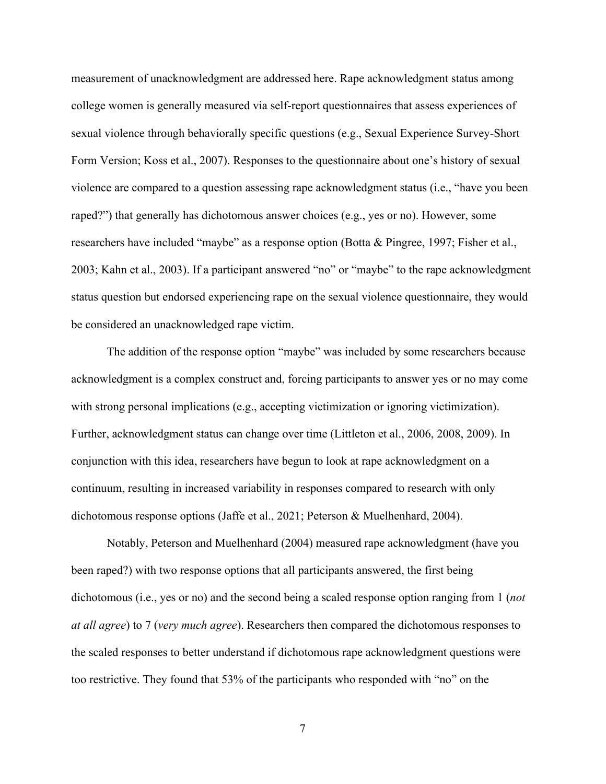measurement of unacknowledgment are addressed here. Rape acknowledgment status among college women is generally measured via self-report questionnaires that assess experiences of sexual violence through behaviorally specific questions (e.g., Sexual Experience Survey-Short Form Version; Koss et al., 2007). Responses to the questionnaire about one's history of sexual violence are compared to a question assessing rape acknowledgment status (i.e., "have you been raped?") that generally has dichotomous answer choices (e.g., yes or no). However, some researchers have included "maybe" as a response option (Botta & Pingree, 1997; Fisher et al., 2003; Kahn et al., 2003). If a participant answered "no" or "maybe" to the rape acknowledgment status question but endorsed experiencing rape on the sexual violence questionnaire, they would be considered an unacknowledged rape victim.

The addition of the response option "maybe" was included by some researchers because acknowledgment is a complex construct and, forcing participants to answer yes or no may come with strong personal implications (e.g., accepting victimization or ignoring victimization). Further, acknowledgment status can change over time (Littleton et al., 2006, 2008, 2009). In conjunction with this idea, researchers have begun to look at rape acknowledgment on a continuum, resulting in increased variability in responses compared to research with only dichotomous response options (Jaffe et al., 2021; Peterson & Muelhenhard, 2004).

Notably, Peterson and Muelhenhard (2004) measured rape acknowledgment (have you been raped?) with two response options that all participants answered, the first being dichotomous (i.e., yes or no) and the second being a scaled response option ranging from 1 (*not at all agree*) to 7 (*very much agree*). Researchers then compared the dichotomous responses to the scaled responses to better understand if dichotomous rape acknowledgment questions were too restrictive. They found that 53% of the participants who responded with "no" on the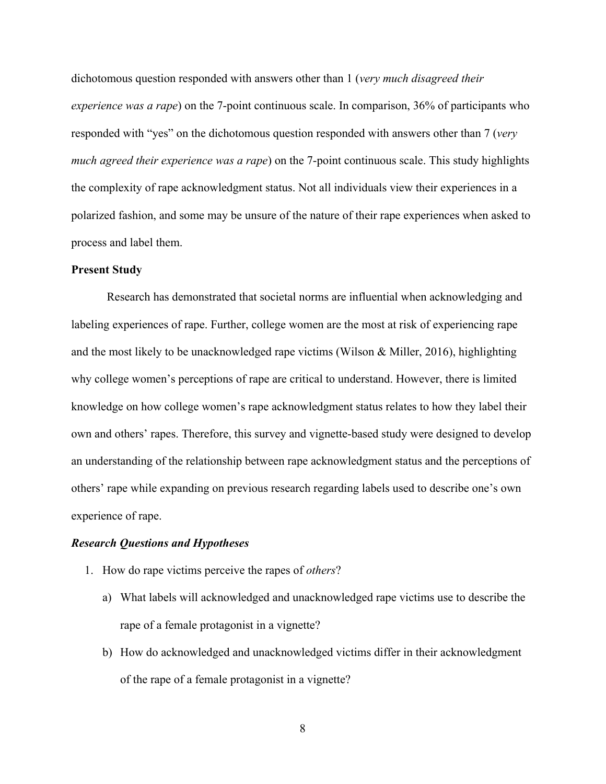dichotomous question responded with answers other than 1 (*very much disagreed their experience was a rape*) on the 7-point continuous scale. In comparison, 36% of participants who responded with "yes" on the dichotomous question responded with answers other than 7 (*very much agreed their experience was a rape*) on the 7-point continuous scale. This study highlights the complexity of rape acknowledgment status. Not all individuals view their experiences in a polarized fashion, and some may be unsure of the nature of their rape experiences when asked to process and label them.

#### **Present Study**

Research has demonstrated that societal norms are influential when acknowledging and labeling experiences of rape. Further, college women are the most at risk of experiencing rape and the most likely to be unacknowledged rape victims (Wilson & Miller, 2016), highlighting why college women's perceptions of rape are critical to understand. However, there is limited knowledge on how college women's rape acknowledgment status relates to how they label their own and others' rapes. Therefore, this survey and vignette-based study were designed to develop an understanding of the relationship between rape acknowledgment status and the perceptions of others' rape while expanding on previous research regarding labels used to describe one's own experience of rape.

#### *Research Questions and Hypotheses*

- 1. How do rape victims perceive the rapes of *others*?
	- a) What labels will acknowledged and unacknowledged rape victims use to describe the rape of a female protagonist in a vignette?
	- b) How do acknowledged and unacknowledged victims differ in their acknowledgment of the rape of a female protagonist in a vignette?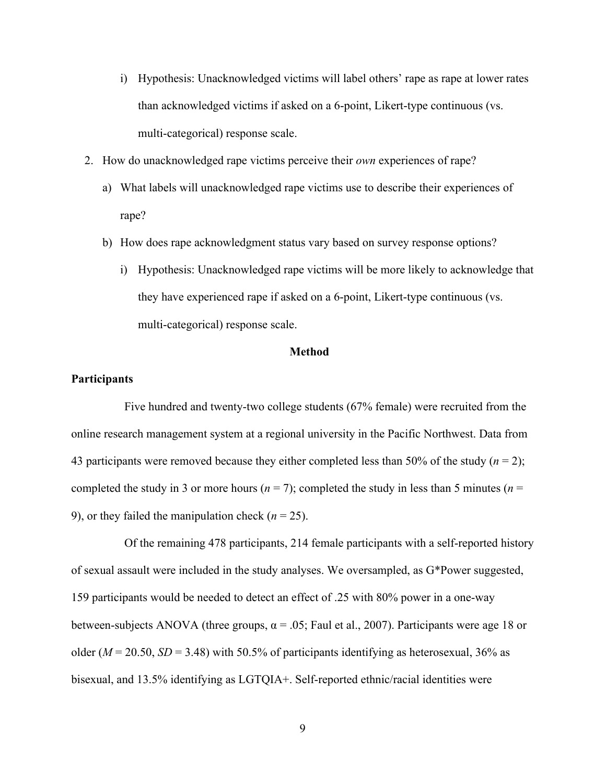- i) Hypothesis: Unacknowledged victims will label others' rape as rape at lower rates than acknowledged victims if asked on a 6-point, Likert-type continuous (vs. multi-categorical) response scale.
- 2. How do unacknowledged rape victims perceive their *own* experiences of rape?
	- a) What labels will unacknowledged rape victims use to describe their experiences of rape?
	- b) How does rape acknowledgment status vary based on survey response options?
		- i) Hypothesis: Unacknowledged rape victims will be more likely to acknowledge that they have experienced rape if asked on a 6-point, Likert-type continuous (vs. multi-categorical) response scale.

#### **Method**

#### **Participants**

Five hundred and twenty-two college students (67% female) were recruited from the online research management system at a regional university in the Pacific Northwest. Data from 43 participants were removed because they either completed less than 50% of the study (*n* = 2); completed the study in 3 or more hours ( $n = 7$ ); completed the study in less than 5 minutes ( $n = 1$ ) 9), or they failed the manipulation check  $(n = 25)$ .

Of the remaining 478 participants, 214 female participants with a self-reported history of sexual assault were included in the study analyses. We oversampled, as G\*Power suggested, 159 participants would be needed to detect an effect of .25 with 80% power in a one-way between-subjects ANOVA (three groups,  $\alpha = .05$ ; Faul et al., 2007). Participants were age 18 or older ( $M = 20.50$ ,  $SD = 3.48$ ) with 50.5% of participants identifying as heterosexual, 36% as bisexual, and 13.5% identifying as LGTQIA+. Self-reported ethnic/racial identities were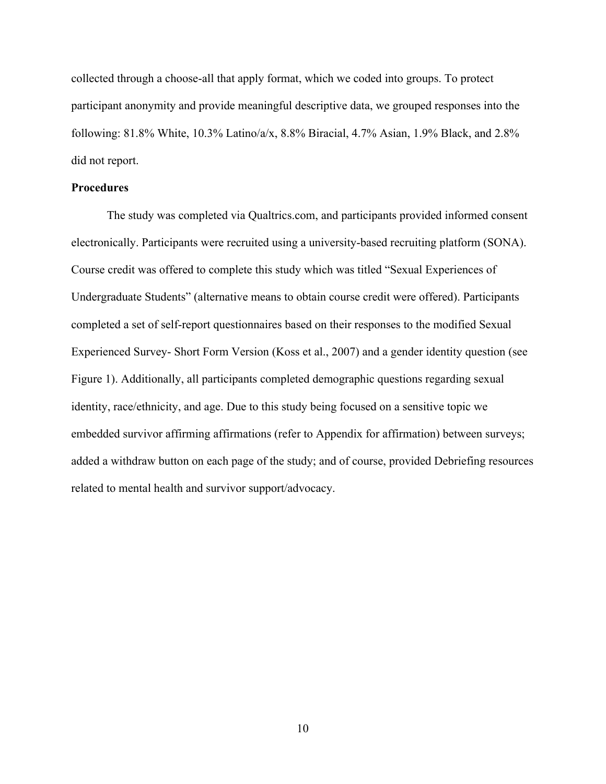collected through a choose-all that apply format, which we coded into groups. To protect participant anonymity and provide meaningful descriptive data, we grouped responses into the following: 81.8% White, 10.3% Latino/a/x, 8.8% Biracial, 4.7% Asian, 1.9% Black, and 2.8% did not report.

#### **Procedures**

The study was completed via Qualtrics.com, and participants provided informed consent electronically. Participants were recruited using a university-based recruiting platform (SONA). Course credit was offered to complete this study which was titled "Sexual Experiences of Undergraduate Students" (alternative means to obtain course credit were offered). Participants completed a set of self-report questionnaires based on their responses to the modified Sexual Experienced Survey- Short Form Version (Koss et al., 2007) and a gender identity question (see Figure 1). Additionally, all participants completed demographic questions regarding sexual identity, race/ethnicity, and age. Due to this study being focused on a sensitive topic we embedded survivor affirming affirmations (refer to Appendix for affirmation) between surveys; added a withdraw button on each page of the study; and of course, provided Debriefing resources related to mental health and survivor support/advocacy.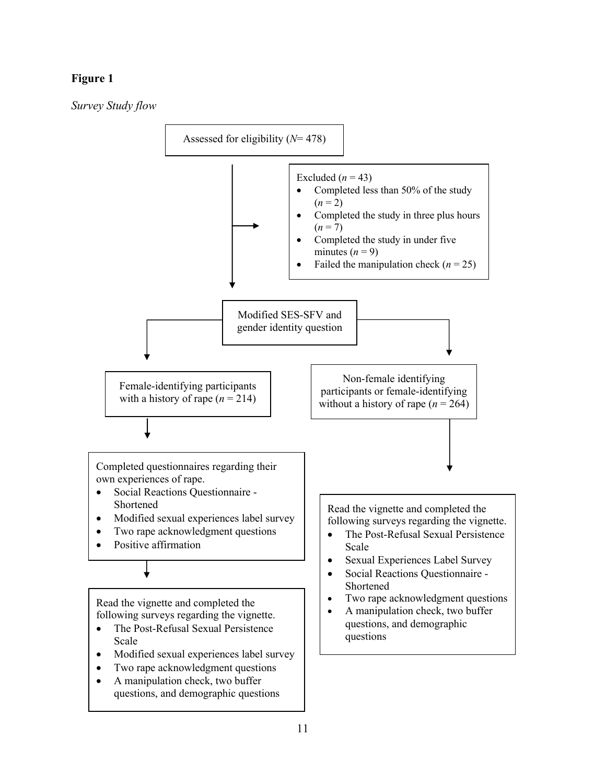# **Figure 1**

*Survey Study flow* 

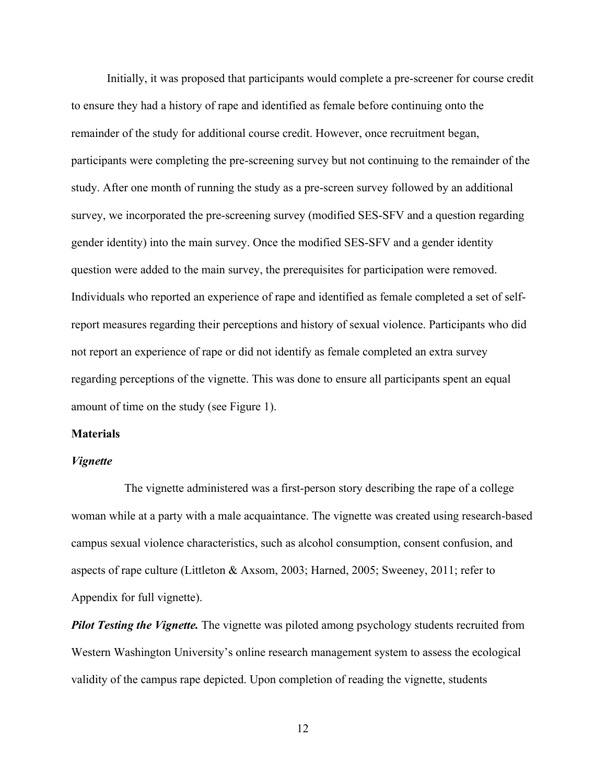Initially, it was proposed that participants would complete a pre-screener for course credit to ensure they had a history of rape and identified as female before continuing onto the remainder of the study for additional course credit. However, once recruitment began, participants were completing the pre-screening survey but not continuing to the remainder of the study. After one month of running the study as a pre-screen survey followed by an additional survey, we incorporated the pre-screening survey (modified SES-SFV and a question regarding gender identity) into the main survey. Once the modified SES-SFV and a gender identity question were added to the main survey, the prerequisites for participation were removed. Individuals who reported an experience of rape and identified as female completed a set of selfreport measures regarding their perceptions and history of sexual violence. Participants who did not report an experience of rape or did not identify as female completed an extra survey regarding perceptions of the vignette. This was done to ensure all participants spent an equal amount of time on the study (see Figure 1).

#### **Materials**

#### *Vignette*

The vignette administered was a first-person story describing the rape of a college woman while at a party with a male acquaintance. The vignette was created using research-based campus sexual violence characteristics, such as alcohol consumption, consent confusion, and aspects of rape culture (Littleton & Axsom, 2003; Harned, 2005; Sweeney, 2011; refer to Appendix for full vignette).

*Pilot Testing the Vignette.* The vignette was piloted among psychology students recruited from Western Washington University's online research management system to assess the ecological validity of the campus rape depicted. Upon completion of reading the vignette, students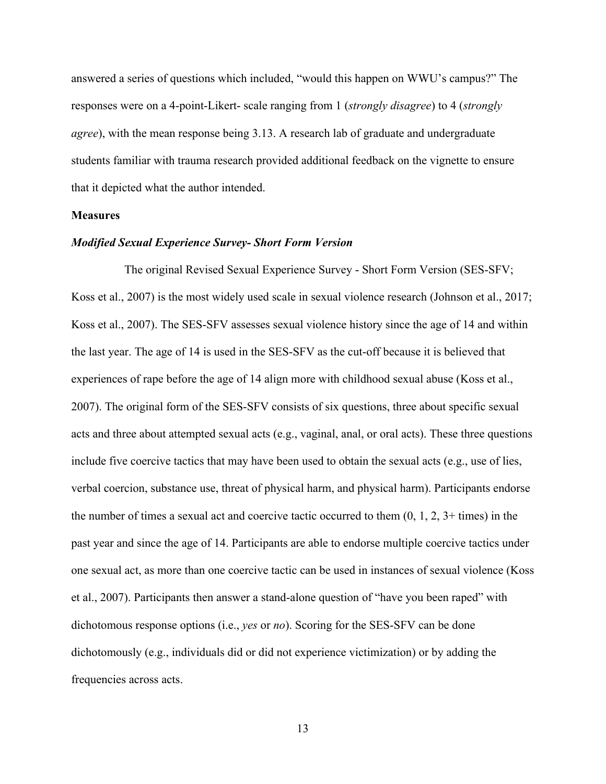answered a series of questions which included, "would this happen on WWU's campus?" The responses were on a 4-point-Likert- scale ranging from 1 (*strongly disagree*) to 4 (*strongly agree*), with the mean response being 3.13. A research lab of graduate and undergraduate students familiar with trauma research provided additional feedback on the vignette to ensure that it depicted what the author intended.

#### **Measures**

#### *Modified Sexual Experience Survey- Short Form Version*

The original Revised Sexual Experience Survey - Short Form Version (SES-SFV; Koss et al., 2007) is the most widely used scale in sexual violence research (Johnson et al., 2017; Koss et al., 2007). The SES-SFV assesses sexual violence history since the age of 14 and within the last year. The age of 14 is used in the SES-SFV as the cut-off because it is believed that experiences of rape before the age of 14 align more with childhood sexual abuse (Koss et al., 2007). The original form of the SES-SFV consists of six questions, three about specific sexual acts and three about attempted sexual acts (e.g., vaginal, anal, or oral acts). These three questions include five coercive tactics that may have been used to obtain the sexual acts (e.g., use of lies, verbal coercion, substance use, threat of physical harm, and physical harm). Participants endorse the number of times a sexual act and coercive tactic occurred to them  $(0, 1, 2, 3+)$  times) in the past year and since the age of 14. Participants are able to endorse multiple coercive tactics under one sexual act, as more than one coercive tactic can be used in instances of sexual violence (Koss et al., 2007). Participants then answer a stand-alone question of "have you been raped" with dichotomous response options (i.e., *yes* or *no*). Scoring for the SES-SFV can be done dichotomously (e.g., individuals did or did not experience victimization) or by adding the frequencies across acts.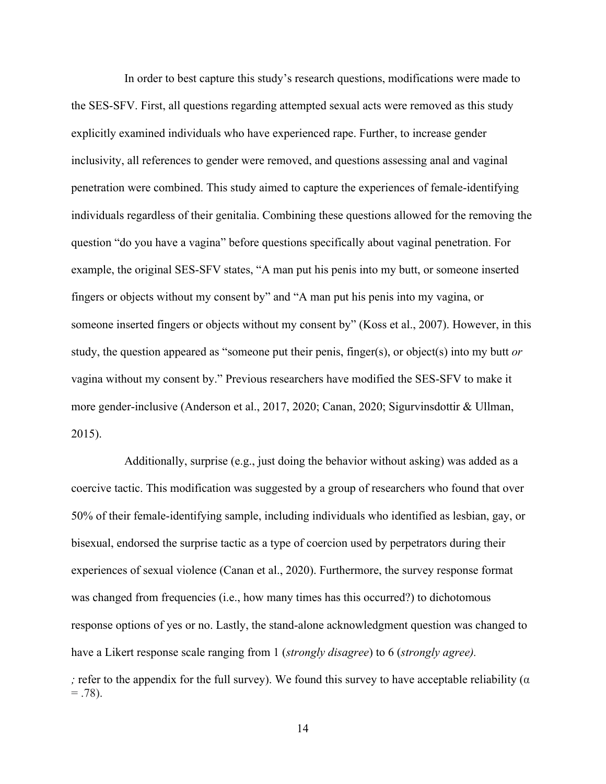In order to best capture this study's research questions, modifications were made to the SES-SFV. First, all questions regarding attempted sexual acts were removed as this study explicitly examined individuals who have experienced rape. Further, to increase gender inclusivity, all references to gender were removed, and questions assessing anal and vaginal penetration were combined. This study aimed to capture the experiences of female-identifying individuals regardless of their genitalia. Combining these questions allowed for the removing the question "do you have a vagina" before questions specifically about vaginal penetration. For example, the original SES-SFV states, "A man put his penis into my butt, or someone inserted fingers or objects without my consent by" and "A man put his penis into my vagina, or someone inserted fingers or objects without my consent by" (Koss et al., 2007). However, in this study, the question appeared as "someone put their penis, finger(s), or object(s) into my butt *or* vagina without my consent by." Previous researchers have modified the SES-SFV to make it more gender-inclusive (Anderson et al., 2017, 2020; Canan, 2020; Sigurvinsdottir & Ullman, 2015).

Additionally, surprise (e.g., just doing the behavior without asking) was added as a coercive tactic. This modification was suggested by a group of researchers who found that over 50% of their female-identifying sample, including individuals who identified as lesbian, gay, or bisexual, endorsed the surprise tactic as a type of coercion used by perpetrators during their experiences of sexual violence (Canan et al., 2020). Furthermore, the survey response format was changed from frequencies (i.e., how many times has this occurred?) to dichotomous response options of yes or no. Lastly, the stand-alone acknowledgment question was changed to have a Likert response scale ranging from 1 (*strongly disagree*) to 6 (*strongly agree). ;* refer to the appendix for the full survey). We found this survey to have acceptable reliability ( $\alpha$  $= .78$ ).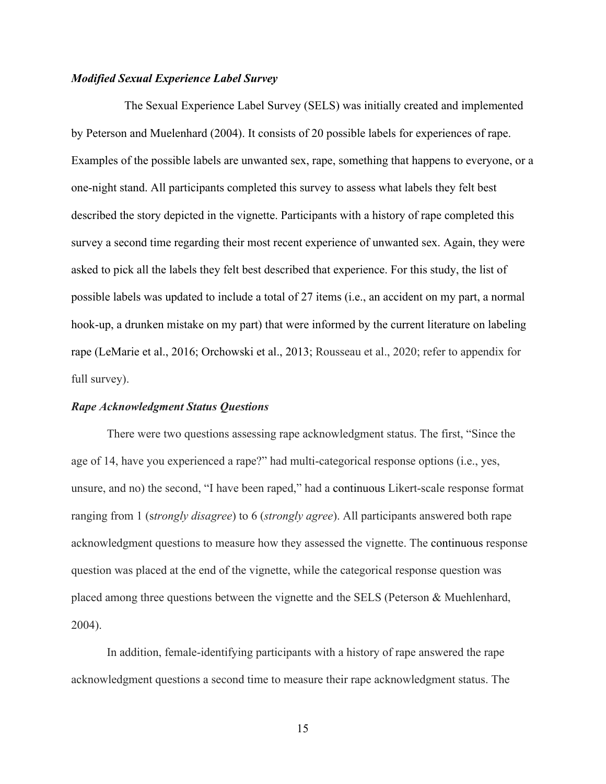#### *Modified Sexual Experience Label Survey*

The Sexual Experience Label Survey (SELS) was initially created and implemented by Peterson and Muelenhard (2004). It consists of 20 possible labels for experiences of rape. Examples of the possible labels are unwanted sex, rape, something that happens to everyone, or a one-night stand. All participants completed this survey to assess what labels they felt best described the story depicted in the vignette. Participants with a history of rape completed this survey a second time regarding their most recent experience of unwanted sex. Again, they were asked to pick all the labels they felt best described that experience. For this study, the list of possible labels was updated to include a total of 27 items (i.e., an accident on my part, a normal hook-up, a drunken mistake on my part) that were informed by the current literature on labeling rape (LeMarie et al., 2016; Orchowski et al., 2013; Rousseau et al., 2020; refer to appendix for full survey).

#### *Rape Acknowledgment Status Questions*

There were two questions assessing rape acknowledgment status. The first, "Since the age of 14, have you experienced a rape?" had multi-categorical response options (i.e., yes, unsure, and no) the second, "I have been raped," had a continuous Likert-scale response format ranging from 1 (s*trongly disagree*) to 6 (*strongly agree*). All participants answered both rape acknowledgment questions to measure how they assessed the vignette. The continuous response question was placed at the end of the vignette, while the categorical response question was placed among three questions between the vignette and the SELS (Peterson & Muehlenhard, 2004).

In addition, female-identifying participants with a history of rape answered the rape acknowledgment questions a second time to measure their rape acknowledgment status. The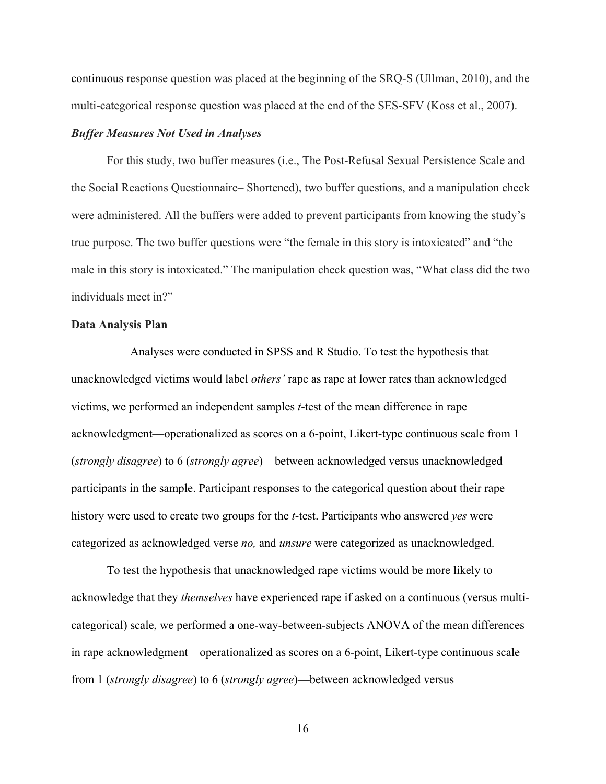continuous response question was placed at the beginning of the SRQ-S (Ullman, 2010), and the multi-categorical response question was placed at the end of the SES-SFV (Koss et al., 2007).

#### *Buffer Measures Not Used in Analyses*

For this study, two buffer measures (i.e., The Post-Refusal Sexual Persistence Scale and the Social Reactions Questionnaire– Shortened), two buffer questions, and a manipulation check were administered. All the buffers were added to prevent participants from knowing the study's true purpose. The two buffer questions were "the female in this story is intoxicated" and "the male in this story is intoxicated." The manipulation check question was, "What class did the two individuals meet in?"

#### **Data Analysis Plan**

 Analyses were conducted in SPSS and R Studio. To test the hypothesis that unacknowledged victims would label *others'* rape as rape at lower rates than acknowledged victims, we performed an independent samples *t*-test of the mean difference in rape acknowledgment—operationalized as scores on a 6-point, Likert-type continuous scale from 1 (*strongly disagree*) to 6 (*strongly agree*)—between acknowledged versus unacknowledged participants in the sample. Participant responses to the categorical question about their rape history were used to create two groups for the *t*-test. Participants who answered *yes* were categorized as acknowledged verse *no,* and *unsure* were categorized as unacknowledged.

To test the hypothesis that unacknowledged rape victims would be more likely to acknowledge that they *themselves* have experienced rape if asked on a continuous (versus multicategorical) scale, we performed a one-way-between-subjects ANOVA of the mean differences in rape acknowledgment—operationalized as scores on a 6-point, Likert-type continuous scale from 1 (*strongly disagree*) to 6 (*strongly agree*)—between acknowledged versus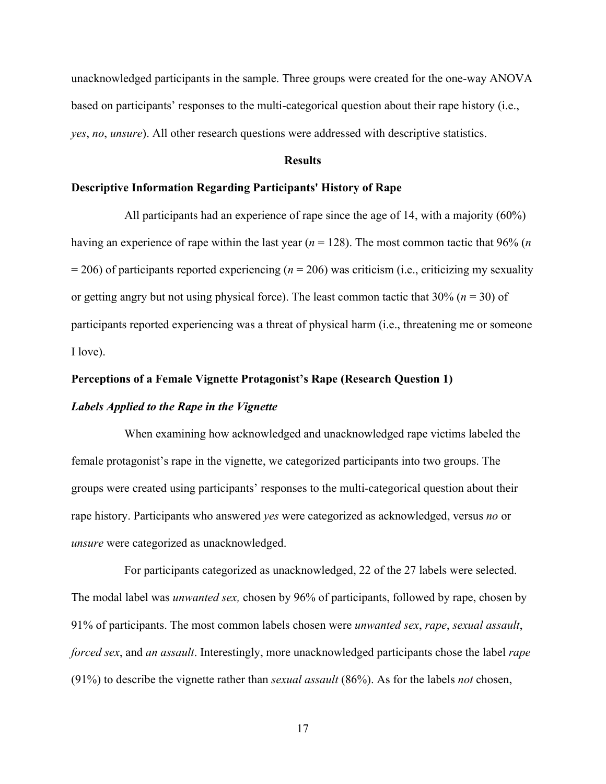unacknowledged participants in the sample. Three groups were created for the one-way ANOVA based on participants' responses to the multi-categorical question about their rape history (i.e., *yes*, *no*, *unsure*). All other research questions were addressed with descriptive statistics.

#### **Results**

### **Descriptive Information Regarding Participants' History of Rape**

All participants had an experience of rape since the age of 14, with a majority (60%) having an experience of rape within the last year (*n* = 128). The most common tactic that 96% (*n* = 206) of participants reported experiencing (*n* = 206) was criticism (i.e., criticizing my sexuality or getting angry but not using physical force). The least common tactic that  $30\%$  ( $n = 30$ ) of participants reported experiencing was a threat of physical harm (i.e., threatening me or someone I love).

#### **Perceptions of a Female Vignette Protagonist's Rape (Research Question 1)**

#### *Labels Applied to the Rape in the Vignette*

When examining how acknowledged and unacknowledged rape victims labeled the female protagonist's rape in the vignette, we categorized participants into two groups. The groups were created using participants' responses to the multi-categorical question about their rape history. Participants who answered *yes* were categorized as acknowledged, versus *no* or *unsure* were categorized as unacknowledged.

For participants categorized as unacknowledged, 22 of the 27 labels were selected. The modal label was *unwanted sex,* chosen by 96% of participants, followed by rape, chosen by 91% of participants. The most common labels chosen were *unwanted sex*, *rape*, *sexual assault*, *forced sex*, and *an assault*. Interestingly, more unacknowledged participants chose the label *rape* (91%) to describe the vignette rather than *sexual assault* (86%). As for the labels *not* chosen,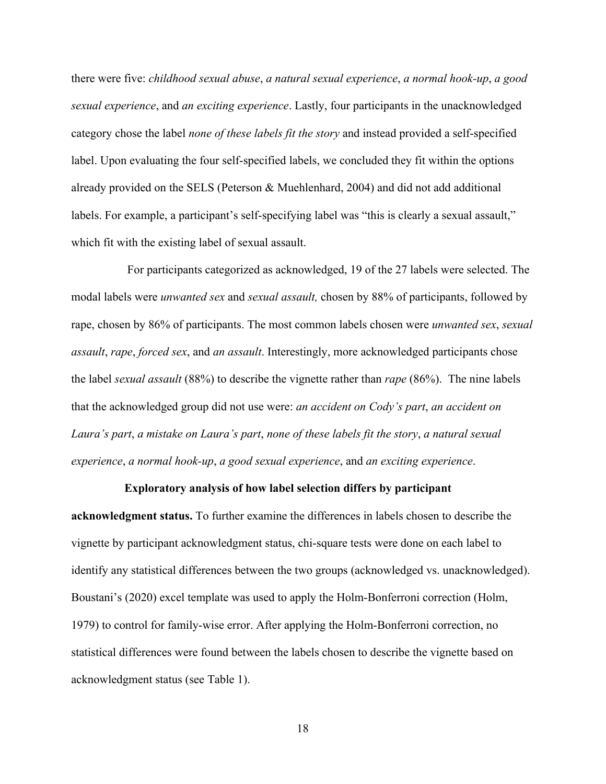there were five: *childhood sexual abuse*, *a natural sexual experience*, *a normal hook-up*, *a good sexual experience*, and *an exciting experience*. Lastly, four participants in the unacknowledged category chose the label *none of these labels fit the story* and instead provided a self-specified label. Upon evaluating the four self-specified labels, we concluded they fit within the options already provided on the SELS (Peterson & Muehlenhard, 2004) and did not add additional labels. For example, a participant's self-specifying label was "this is clearly a sexual assault," which fit with the existing label of sexual assault.

For participants categorized as acknowledged, 19 of the 27 labels were selected. The modal labels were *unwanted sex* and *sexual assault,* chosen by 88% of participants, followed by rape, chosen by 86% of participants. The most common labels chosen were *unwanted sex*, *sexual assault*, *rape*, *forced sex*, and *an assault*. Interestingly, more acknowledged participants chose the label *sexual assault* (88%) to describe the vignette rather than *rape* (86%). The nine labels that the acknowledged group did not use were: *an accident on Cody's part*, *an accident on Laura's part*, *a mistake on Laura's part*, *none of these labels fit the story*, *a natural sexual experience*, *a normal hook-up*, *a good sexual experience*, and *an exciting experience*.

#### **Exploratory analysis of how label selection differs by participant**

**acknowledgment status.** To further examine the differences in labels chosen to describe the vignette by participant acknowledgment status, chi-square tests were done on each label to identify any statistical differences between the two groups (acknowledged vs. unacknowledged). Boustani's (2020) excel template was used to apply the Holm-Bonferroni correction (Holm, 1979) to control for family-wise error. After applying the Holm-Bonferroni correction, no statistical differences were found between the labels chosen to describe the vignette based on acknowledgment status (see Table 1).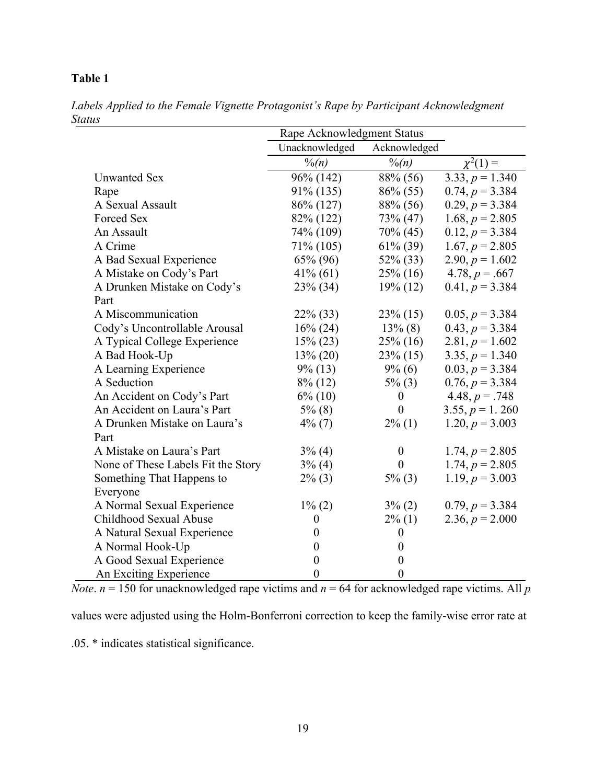# **Table 1**

|                                    | Rape Acknowledgment Status |                  |                   |
|------------------------------------|----------------------------|------------------|-------------------|
|                                    | Unacknowledged             | Acknowledged     |                   |
|                                    | $\frac{0}{(n)}$            | $\frac{0}{(n)}$  | $\chi^2(1) =$     |
| <b>Unwanted Sex</b>                | 96% (142)                  | 88% (56)         | $3.33, p = 1.340$ |
| Rape                               | 91% (135)                  | $86\% (55)$      | $0.74, p = 3.384$ |
| A Sexual Assault                   | 86% (127)                  | 88% (56)         | $0.29, p = 3.384$ |
| Forced Sex                         | 82% (122)                  | 73% (47)         | $1.68, p = 2.805$ |
| An Assault                         | 74\% (109)                 | 70% (45)         | $0.12, p = 3.384$ |
| A Crime                            | 71\% (105)                 | $61\% (39)$      | $1.67, p = 2.805$ |
| A Bad Sexual Experience            | $65\% (96)$                | 52\% (33)        | $2.90, p = 1.602$ |
| A Mistake on Cody's Part           | $41\%$ (61)                | $25\%$ (16)      | 4.78, $p = .667$  |
| A Drunken Mistake on Cody's        | $23\%$ (34)                | $19\% (12)$      | $0.41, p = 3.384$ |
| Part                               |                            |                  |                   |
| A Miscommunication                 | $22\%$ (33)                | $23\%$ (15)      | $0.05, p = 3.384$ |
| Cody's Uncontrollable Arousal      | $16\% (24)$                | $13\%$ (8)       | $0.43, p = 3.384$ |
| A Typical College Experience       | $15\% (23)$                | $25\%$ (16)      | $2.81, p = 1.602$ |
| A Bad Hook-Up                      | $13\% (20)$                | $23\%$ (15)      | $3.35, p = 1.340$ |
| A Learning Experience              | $9\%$ (13)                 | $9\% (6)$        | $0.03, p = 3.384$ |
| A Seduction                        | $8\%$ (12)                 | $5\%$ (3)        | $0.76, p = 3.384$ |
| An Accident on Cody's Part         | $6\%$ (10)                 | $\boldsymbol{0}$ | 4.48, $p = .748$  |
| An Accident on Laura's Part        | $5\%$ (8)                  | $\overline{0}$   | $3.55, p = 1.260$ |
| A Drunken Mistake on Laura's       | $4\%$ (7)                  | $2\%$ (1)        | 1.20, $p = 3.003$ |
| Part                               |                            |                  |                   |
| A Mistake on Laura's Part          | $3\%$ (4)                  | $\boldsymbol{0}$ | 1.74, $p = 2.805$ |
| None of These Labels Fit the Story | $3\%$ (4)                  | $\overline{0}$   | 1.74, $p = 2.805$ |
| Something That Happens to          | $2\%$ (3)                  | $5\%$ (3)        | $1.19, p = 3.003$ |
| Everyone                           |                            |                  |                   |
| A Normal Sexual Experience         | $1\%$ (2)                  | $3\%$ (2)        | $0.79, p = 3.384$ |
| Childhood Sexual Abuse             | $\boldsymbol{0}$           | $2\%$ (1)        | 2.36, $p = 2.000$ |
| A Natural Sexual Experience        | $\overline{0}$             | $\theta$         |                   |
| A Normal Hook-Up                   | $\overline{0}$             | $\boldsymbol{0}$ |                   |
| A Good Sexual Experience           | $\boldsymbol{0}$           | $\boldsymbol{0}$ |                   |
| An Exciting Experience             | $\overline{0}$             | $\boldsymbol{0}$ |                   |

*Labels Applied to the Female Vignette Protagonist's Rape by Participant Acknowledgment Status*

*Note*.  $n = 150$  for unacknowledged rape victims and  $n = 64$  for acknowledged rape victims. All *p* 

values were adjusted using the Holm-Bonferroni correction to keep the family-wise error rate at

.05. \* indicates statistical significance.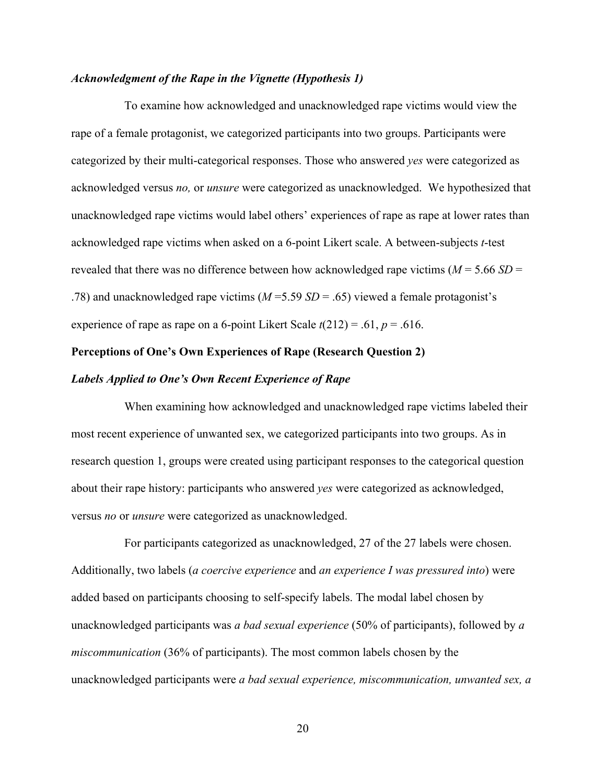#### *Acknowledgment of the Rape in the Vignette (Hypothesis 1)*

To examine how acknowledged and unacknowledged rape victims would view the rape of a female protagonist, we categorized participants into two groups. Participants were categorized by their multi-categorical responses. Those who answered *yes* were categorized as acknowledged versus *no,* or *unsure* were categorized as unacknowledged. We hypothesized that unacknowledged rape victims would label others' experiences of rape as rape at lower rates than acknowledged rape victims when asked on a 6-point Likert scale. A between-subjects *t*-test revealed that there was no difference between how acknowledged rape victims  $(M = 5.66 S D =$ .78) and unacknowledged rape victims (*M* =5.59 *SD* = .65) viewed a female protagonist's experience of rape as rape on a 6-point Likert Scale *t*(212) = .61, *p* = .616.

#### **Perceptions of One's Own Experiences of Rape (Research Question 2)**

#### *Labels Applied to One's Own Recent Experience of Rape*

When examining how acknowledged and unacknowledged rape victims labeled their most recent experience of unwanted sex, we categorized participants into two groups. As in research question 1, groups were created using participant responses to the categorical question about their rape history: participants who answered *yes* were categorized as acknowledged, versus *no* or *unsure* were categorized as unacknowledged.

For participants categorized as unacknowledged, 27 of the 27 labels were chosen. Additionally, two labels (*a coercive experience* and *an experience I was pressured into*) were added based on participants choosing to self-specify labels. The modal label chosen by unacknowledged participants was *a bad sexual experience* (50% of participants), followed by *a miscommunication* (36% of participants). The most common labels chosen by the unacknowledged participants were *a bad sexual experience, miscommunication, unwanted sex, a*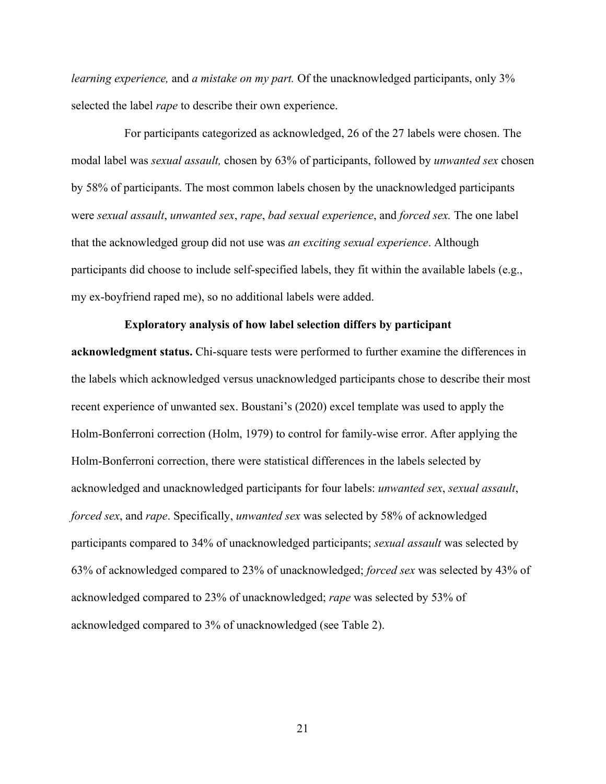*learning experience,* and *a mistake on my part.* Of the unacknowledged participants, only 3% selected the label *rape* to describe their own experience.

For participants categorized as acknowledged, 26 of the 27 labels were chosen. The modal label was *sexual assault,* chosen by 63% of participants, followed by *unwanted sex* chosen by 58% of participants. The most common labels chosen by the unacknowledged participants were *sexual assault*, *unwanted sex*, *rape*, *bad sexual experience*, and *forced sex.* The one label that the acknowledged group did not use was *an exciting sexual experience*. Although participants did choose to include self-specified labels, they fit within the available labels (e.g., my ex-boyfriend raped me), so no additional labels were added.

#### **Exploratory analysis of how label selection differs by participant**

**acknowledgment status.** Chi-square tests were performed to further examine the differences in the labels which acknowledged versus unacknowledged participants chose to describe their most recent experience of unwanted sex. Boustani's (2020) excel template was used to apply the Holm-Bonferroni correction (Holm, 1979) to control for family-wise error. After applying the Holm-Bonferroni correction, there were statistical differences in the labels selected by acknowledged and unacknowledged participants for four labels: *unwanted sex*, *sexual assault*, *forced sex*, and *rape*. Specifically, *unwanted sex* was selected by 58% of acknowledged participants compared to 34% of unacknowledged participants; *sexual assault* was selected by 63% of acknowledged compared to 23% of unacknowledged; *forced sex* was selected by 43% of acknowledged compared to 23% of unacknowledged; *rape* was selected by 53% of acknowledged compared to 3% of unacknowledged (see Table 2).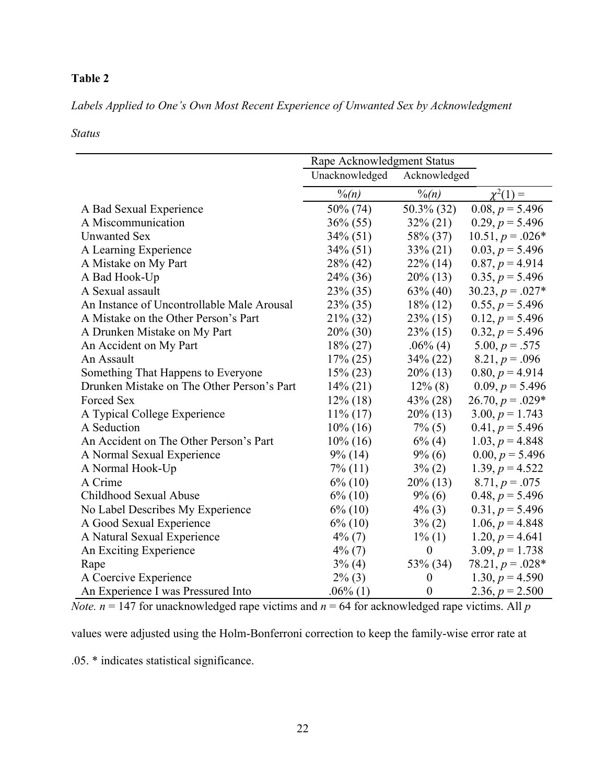# **Table 2**

*Labels Applied to One's Own Most Recent Experience of Unwanted Sex by Acknowledgment* 

### *Status*

|                                            | Rape Acknowledgment Status |                   |                    |
|--------------------------------------------|----------------------------|-------------------|--------------------|
|                                            | Unacknowledged             | Acknowledged      |                    |
|                                            | $\frac{0}{0}$ (n)          | $\frac{0}{0}$ (n) | $\chi^2(1) =$      |
| A Bad Sexual Experience                    | 50% (74)                   | 50.3% (32)        | $0.08, p = 5.496$  |
| A Miscommunication                         | $36\% (55)$                | $32\% (21)$       | $0.29, p = 5.496$  |
| <b>Unwanted Sex</b>                        | $34\%$ (51)                | 58% (37)          | $10.51, p = .026*$ |
| A Learning Experience                      | $34\%$ (51)                | $33\% (21)$       | $0.03, p = 5.496$  |
| A Mistake on My Part                       | 28% (42)                   | $22\%$ (14)       | $0.87, p = 4.914$  |
| A Bad Hook-Up                              | 24% (36)                   | $20\%$ (13)       | $0.35, p = 5.496$  |
| A Sexual assault                           | 23% (35)                   | $63\%$ (40)       | $30.23, p = .027*$ |
| An Instance of Uncontrollable Male Arousal | 23% (35)                   | $18\%$ (12)       | $0.55, p = 5.496$  |
| A Mistake on the Other Person's Part       | 21% (32)                   | 23% (15)          | $0.12, p = 5.496$  |
| A Drunken Mistake on My Part               | $20\% (30)$                | $23\%$ (15)       | $0.32, p = 5.496$  |
| An Accident on My Part                     | $18\% (27)$                | $.06\%$ (4)       | $5.00, p = .575$   |
| An Assault                                 | $17\% (25)$                | 34% (22)          | $8.21, p = .096$   |
| Something That Happens to Everyone         | $15\% (23)$                | $20\%$ (13)       | $0.80, p = 4.914$  |
| Drunken Mistake on The Other Person's Part | $14\% (21)$                | $12\%$ (8)        | $0.09, p = 5.496$  |
| Forced Sex                                 | $12\%$ (18)                | $43\% (28)$       | $26.70, p = .029*$ |
| A Typical College Experience               | $11\%$ (17)                | $20\%$ (13)       | $3.00, p = 1.743$  |
| A Seduction                                | $10\%$ (16)                | $7\%$ (5)         | $0.41, p = 5.496$  |
| An Accident on The Other Person's Part     | $10\%$ (16)                | $6\%$ (4)         | $1.03, p = 4.848$  |
| A Normal Sexual Experience                 | $9\%$ (14)                 | $9\%$ (6)         | $0.00, p = 5.496$  |
| A Normal Hook-Up                           | $7\%$ (11)                 | $3\% (2)$         | $1.39, p = 4.522$  |
| A Crime                                    | $6\%$ (10)                 | $20\%$ (13)       | $8.71, p = .075$   |
| Childhood Sexual Abuse                     | $6\%$ (10)                 | $9\%$ (6)         | $0.48, p = 5.496$  |
| No Label Describes My Experience           | $6\%$ (10)                 | $4\%$ (3)         | $0.31, p = 5.496$  |
| A Good Sexual Experience                   | $6\%$ (10)                 | $3\% (2)$         | $1.06, p = 4.848$  |
| A Natural Sexual Experience                | $4\%$ (7)                  | $1\%$ (1)         | $1.20, p = 4.641$  |
| An Exciting Experience                     | $4\%$ (7)                  | $\boldsymbol{0}$  | $3.09, p = 1.738$  |
| Rape                                       | $3\%$ (4)                  | 53% (34)          | $78.21, p = .028*$ |
| A Coercive Experience                      | $2\%$ (3)                  | $\boldsymbol{0}$  | 1.30, $p = 4.590$  |
| An Experience I was Pressured Into         | $.06\%$ (1)                | $\boldsymbol{0}$  | 2.36, $p = 2.500$  |

*Note.*  $n = 147$  for unacknowledged rape victims and  $n = 64$  for acknowledged rape victims. All  $p$ 

values were adjusted using the Holm-Bonferroni correction to keep the family-wise error rate at

.05. \* indicates statistical significance.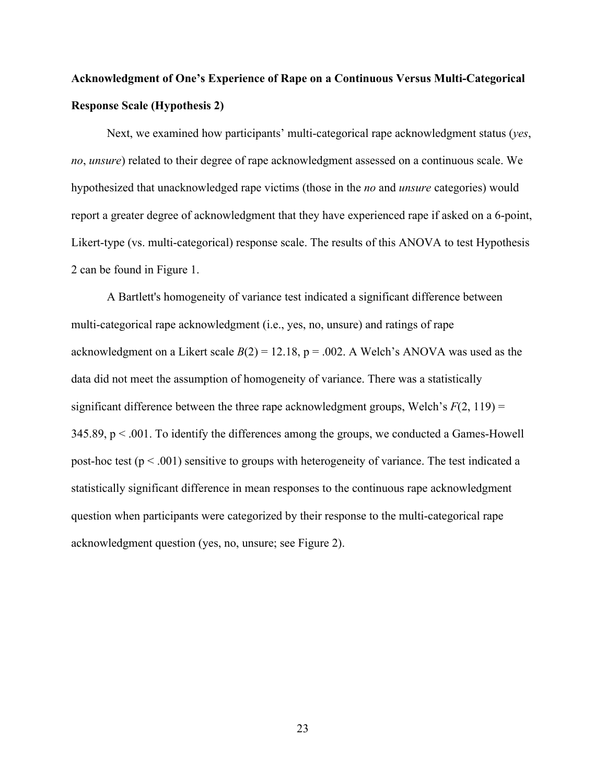# **Acknowledgment of One's Experience of Rape on a Continuous Versus Multi-Categorical Response Scale (Hypothesis 2)**

Next, we examined how participants' multi-categorical rape acknowledgment status (*yes*, *no*, *unsure*) related to their degree of rape acknowledgment assessed on a continuous scale. We hypothesized that unacknowledged rape victims (those in the *no* and *unsure* categories) would report a greater degree of acknowledgment that they have experienced rape if asked on a 6-point, Likert-type (vs. multi-categorical) response scale. The results of this ANOVA to test Hypothesis 2 can be found in Figure 1.

A Bartlett's homogeneity of variance test indicated a significant difference between multi-categorical rape acknowledgment (i.e., yes, no, unsure) and ratings of rape acknowledgment on a Likert scale  $B(2) = 12.18$ ,  $p = .002$ . A Welch's ANOVA was used as the data did not meet the assumption of homogeneity of variance. There was a statistically significant difference between the three rape acknowledgment groups, Welch's  $F(2, 119) =$  $345.89$ ,  $p < .001$ . To identify the differences among the groups, we conducted a Games-Howell post-hoc test ( $p < .001$ ) sensitive to groups with heterogeneity of variance. The test indicated a statistically significant difference in mean responses to the continuous rape acknowledgment question when participants were categorized by their response to the multi-categorical rape acknowledgment question (yes, no, unsure; see Figure 2).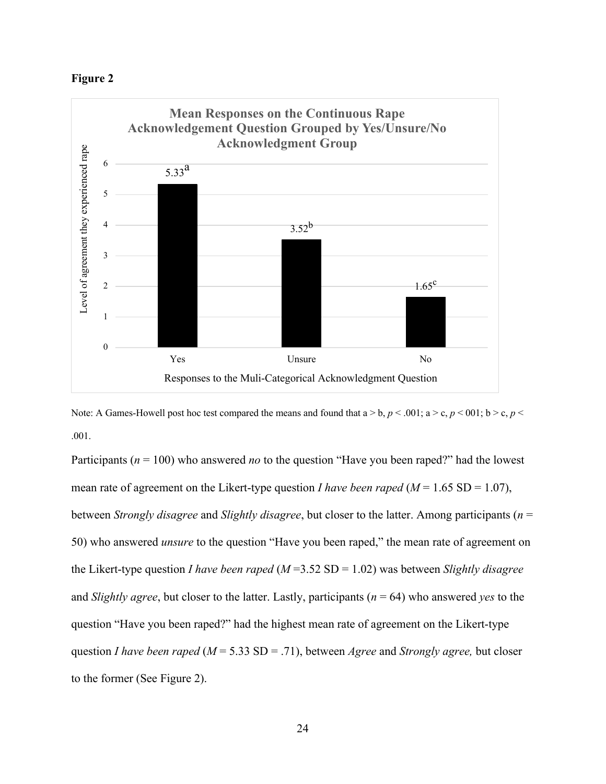



Note: A Games-Howell post hoc test compared the means and found that  $a > b$ ,  $p < .001$ ;  $a > c$ ,  $p < .001$ ;  $b > c$ ,  $p <$ .001.

Participants (*n* = 100) who answered *no* to the question "Have you been raped?" had the lowest mean rate of agreement on the Likert-type question *I have been raped* ( $M = 1.65$  SD = 1.07), between *Strongly disagree* and *Slightly disagree*, but closer to the latter. Among participants (*n* = 50) who answered *unsure* to the question "Have you been raped," the mean rate of agreement on the Likert-type question *I have been raped* (*M* =3.52 SD = 1.02) was between *Slightly disagree* and *Slightly agree*, but closer to the latter. Lastly, participants (*n* = 64) who answered *yes* to the question "Have you been raped?" had the highest mean rate of agreement on the Likert-type question *I have been raped* (*M* = 5.33 SD = .71), between *Agree* and *Strongly agree,* but closer to the former (See Figure 2).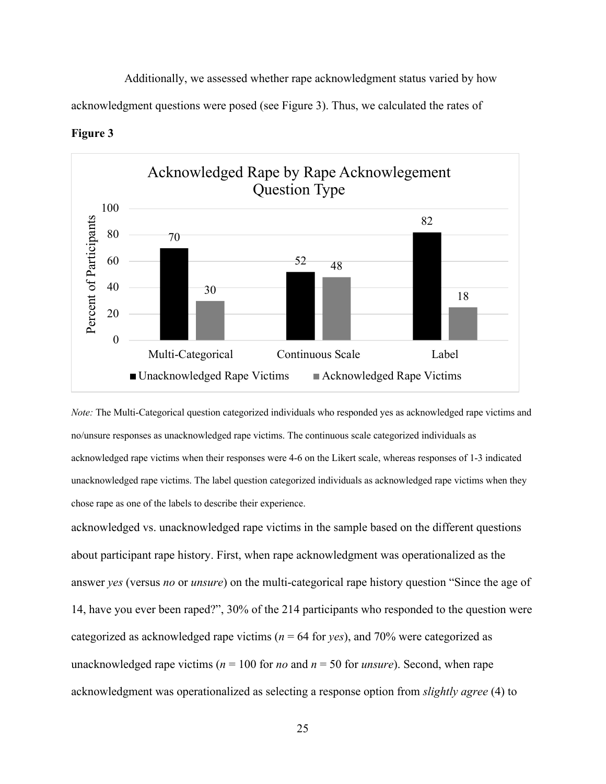Additionally, we assessed whether rape acknowledgment status varied by how

acknowledgment questions were posed (see Figure 3). Thus, we calculated the rates of





*Note:* The Multi-Categorical question categorized individuals who responded yes as acknowledged rape victims and no/unsure responses as unacknowledged rape victims. The continuous scale categorized individuals as acknowledged rape victims when their responses were 4-6 on the Likert scale, whereas responses of 1-3 indicated unacknowledged rape victims. The label question categorized individuals as acknowledged rape victims when they chose rape as one of the labels to describe their experience.

acknowledged vs. unacknowledged rape victims in the sample based on the different questions about participant rape history. First, when rape acknowledgment was operationalized as the answer *yes* (versus *no* or *unsure*) on the multi-categorical rape history question "Since the age of 14, have you ever been raped?", 30% of the 214 participants who responded to the question were categorized as acknowledged rape victims ( $n = 64$  for *yes*), and 70% were categorized as unacknowledged rape victims ( $n = 100$  for *no* and  $n = 50$  for *unsure*). Second, when rape acknowledgment was operationalized as selecting a response option from *slightly agree* (4) to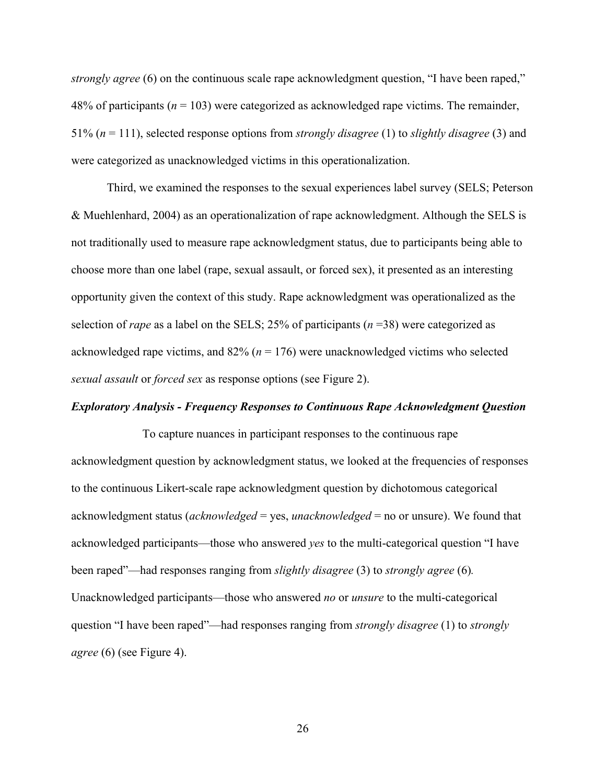*strongly agree* (6) on the continuous scale rape acknowledgment question, "I have been raped," 48% of participants ( $n = 103$ ) were categorized as acknowledged rape victims. The remainder, 51% (*n* = 111), selected response options from *strongly disagree* (1) to *slightly disagree* (3) and were categorized as unacknowledged victims in this operationalization.

Third, we examined the responses to the sexual experiences label survey (SELS; Peterson & Muehlenhard, 2004) as an operationalization of rape acknowledgment. Although the SELS is not traditionally used to measure rape acknowledgment status, due to participants being able to choose more than one label (rape, sexual assault, or forced sex), it presented as an interesting opportunity given the context of this study. Rape acknowledgment was operationalized as the selection of *rape* as a label on the SELS; 25% of participants (*n* =38) were categorized as acknowledged rape victims, and  $82\%$  ( $n = 176$ ) were unacknowledged victims who selected *sexual assault* or *forced sex* as response options (see Figure 2).

#### *Exploratory Analysis - Frequency Responses to Continuous Rape Acknowledgment Question*

To capture nuances in participant responses to the continuous rape acknowledgment question by acknowledgment status, we looked at the frequencies of responses to the continuous Likert-scale rape acknowledgment question by dichotomous categorical acknowledgment status (*acknowledged* = yes, *unacknowledged* = no or unsure). We found that acknowledged participants—those who answered *yes* to the multi-categorical question "I have been raped"—had responses ranging from *slightly disagree* (3) to *strongly agree* (6)*.*  Unacknowledged participants—those who answered *no* or *unsure* to the multi-categorical question "I have been raped"—had responses ranging from *strongly disagree* (1) to *strongly agree* (6) (see Figure 4).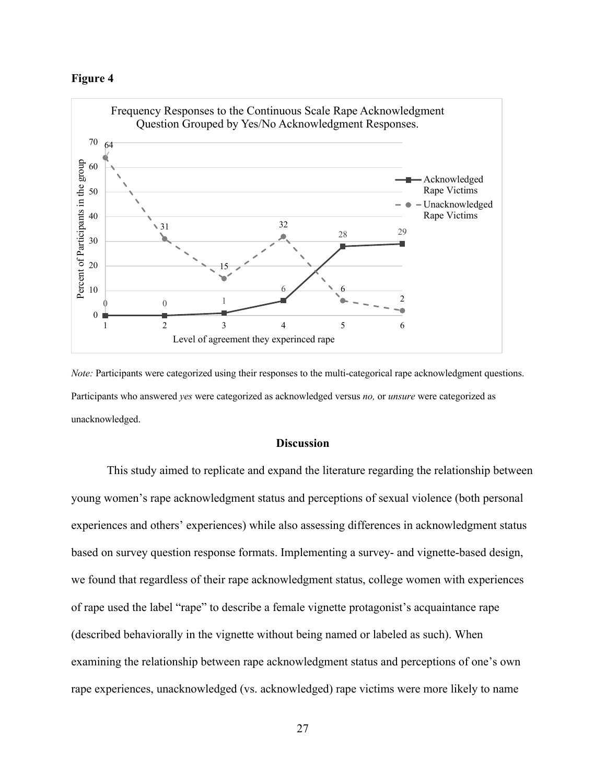#### **Figure 4**



*Note:* Participants were categorized using their responses to the multi-categorical rape acknowledgment questions. Participants who answered *yes* were categorized as acknowledged versus *no,* or *unsure* were categorized as unacknowledged.

#### **Discussion**

This study aimed to replicate and expand the literature regarding the relationship between young women's rape acknowledgment status and perceptions of sexual violence (both personal experiences and others' experiences) while also assessing differences in acknowledgment status based on survey question response formats. Implementing a survey- and vignette-based design, we found that regardless of their rape acknowledgment status, college women with experiences of rape used the label "rape" to describe a female vignette protagonist's acquaintance rape (described behaviorally in the vignette without being named or labeled as such). When examining the relationship between rape acknowledgment status and perceptions of one's own rape experiences, unacknowledged (vs. acknowledged) rape victims were more likely to name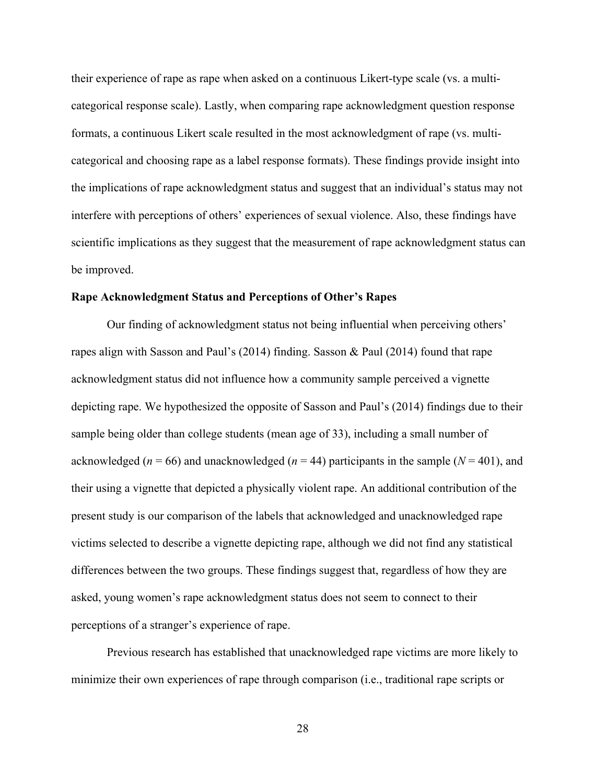their experience of rape as rape when asked on a continuous Likert-type scale (vs. a multicategorical response scale). Lastly, when comparing rape acknowledgment question response formats, a continuous Likert scale resulted in the most acknowledgment of rape (vs. multicategorical and choosing rape as a label response formats). These findings provide insight into the implications of rape acknowledgment status and suggest that an individual's status may not interfere with perceptions of others' experiences of sexual violence. Also, these findings have scientific implications as they suggest that the measurement of rape acknowledgment status can be improved.

#### **Rape Acknowledgment Status and Perceptions of Other's Rapes**

Our finding of acknowledgment status not being influential when perceiving others' rapes align with Sasson and Paul's (2014) finding. Sasson & Paul (2014) found that rape acknowledgment status did not influence how a community sample perceived a vignette depicting rape. We hypothesized the opposite of Sasson and Paul's (2014) findings due to their sample being older than college students (mean age of 33), including a small number of acknowledged (*n* = 66) and unacknowledged (*n* = 44) participants in the sample (*N* = 401), and their using a vignette that depicted a physically violent rape. An additional contribution of the present study is our comparison of the labels that acknowledged and unacknowledged rape victims selected to describe a vignette depicting rape, although we did not find any statistical differences between the two groups. These findings suggest that, regardless of how they are asked, young women's rape acknowledgment status does not seem to connect to their perceptions of a stranger's experience of rape.

Previous research has established that unacknowledged rape victims are more likely to minimize their own experiences of rape through comparison (i.e., traditional rape scripts or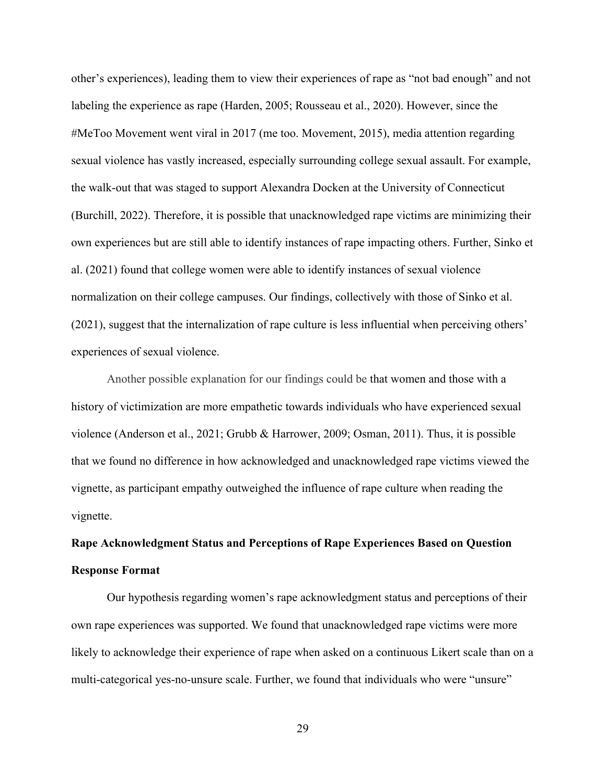other's experiences), leading them to view their experiences of rape as "not bad enough" and not labeling the experience as rape (Harden, 2005; Rousseau et al., 2020). However, since the #MeToo Movement went viral in 2017 (me too. Movement, 2015), media attention regarding sexual violence has vastly increased, especially surrounding college sexual assault. For example, the walk-out that was staged to support Alexandra Docken at the University of Connecticut (Burchill, 2022). Therefore, it is possible that unacknowledged rape victims are minimizing their own experiences but are still able to identify instances of rape impacting others. Further, Sinko et al. (2021) found that college women were able to identify instances of sexual violence normalization on their college campuses. Our findings, collectively with those of Sinko et al. (2021), suggest that the internalization of rape culture is less influential when perceiving others' experiences of sexual violence.

Another possible explanation for our findings could be that women and those with a history of victimization are more empathetic towards individuals who have experienced sexual violence (Anderson et al., 2021; Grubb & Harrower, 2009; Osman, 2011). Thus, it is possible that we found no difference in how acknowledged and unacknowledged rape victims viewed the vignette, as participant empathy outweighed the influence of rape culture when reading the vignette.

# **Rape Acknowledgment Status and Perceptions of Rape Experiences Based on Question Response Format**

Our hypothesis regarding women's rape acknowledgment status and perceptions of their own rape experiences was supported. We found that unacknowledged rape victims were more likely to acknowledge their experience of rape when asked on a continuous Likert scale than on a multi-categorical yes-no-unsure scale. Further, we found that individuals who were "unsure"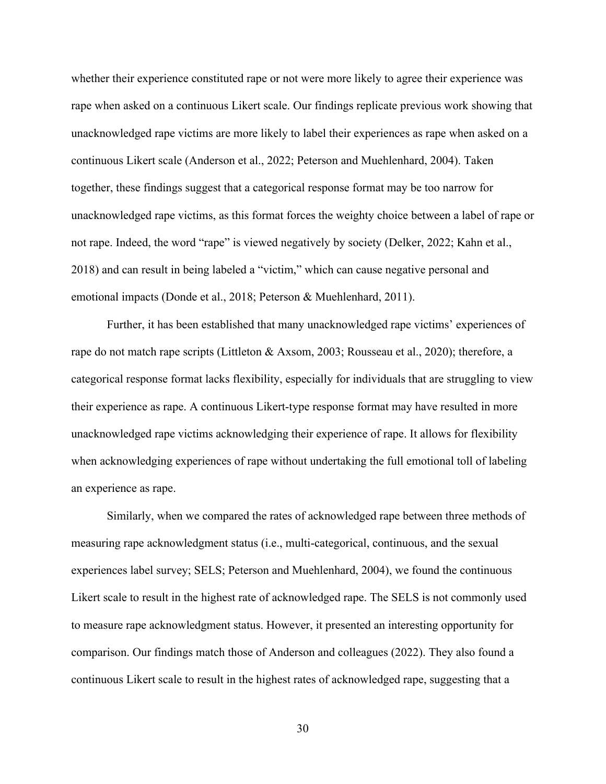whether their experience constituted rape or not were more likely to agree their experience was rape when asked on a continuous Likert scale. Our findings replicate previous work showing that unacknowledged rape victims are more likely to label their experiences as rape when asked on a continuous Likert scale (Anderson et al., 2022; Peterson and Muehlenhard, 2004). Taken together, these findings suggest that a categorical response format may be too narrow for unacknowledged rape victims, as this format forces the weighty choice between a label of rape or not rape. Indeed, the word "rape" is viewed negatively by society (Delker, 2022; Kahn et al., 2018) and can result in being labeled a "victim," which can cause negative personal and emotional impacts (Donde et al., 2018; Peterson & Muehlenhard, 2011).

Further, it has been established that many unacknowledged rape victims' experiences of rape do not match rape scripts (Littleton & Axsom, 2003; Rousseau et al., 2020); therefore, a categorical response format lacks flexibility, especially for individuals that are struggling to view their experience as rape. A continuous Likert-type response format may have resulted in more unacknowledged rape victims acknowledging their experience of rape. It allows for flexibility when acknowledging experiences of rape without undertaking the full emotional toll of labeling an experience as rape.

Similarly, when we compared the rates of acknowledged rape between three methods of measuring rape acknowledgment status (i.e., multi-categorical, continuous, and the sexual experiences label survey; SELS; Peterson and Muehlenhard, 2004), we found the continuous Likert scale to result in the highest rate of acknowledged rape. The SELS is not commonly used to measure rape acknowledgment status. However, it presented an interesting opportunity for comparison. Our findings match those of Anderson and colleagues (2022). They also found a continuous Likert scale to result in the highest rates of acknowledged rape, suggesting that a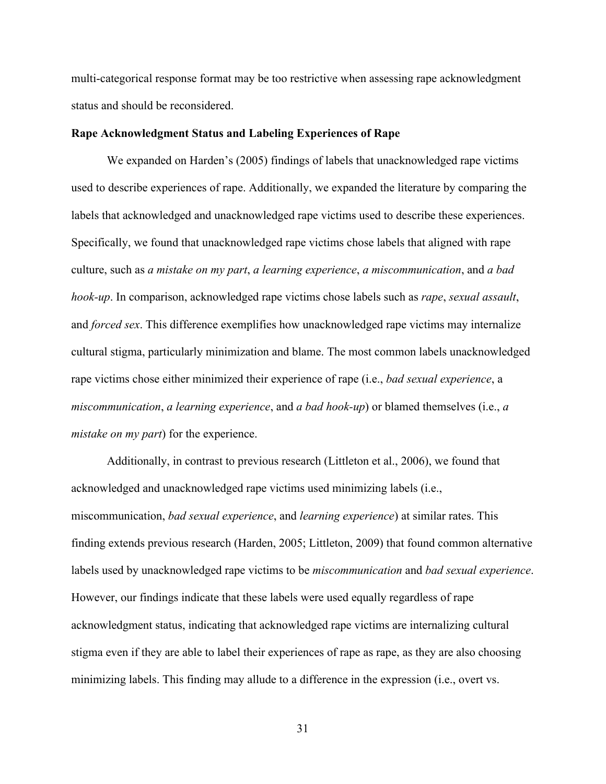multi-categorical response format may be too restrictive when assessing rape acknowledgment status and should be reconsidered.

#### **Rape Acknowledgment Status and Labeling Experiences of Rape**

We expanded on Harden's (2005) findings of labels that unacknowledged rape victims used to describe experiences of rape. Additionally, we expanded the literature by comparing the labels that acknowledged and unacknowledged rape victims used to describe these experiences. Specifically, we found that unacknowledged rape victims chose labels that aligned with rape culture, such as *a mistake on my part*, *a learning experience*, *a miscommunication*, and *a bad hook-up*. In comparison, acknowledged rape victims chose labels such as *rape*, *sexual assault*, and *forced sex*. This difference exemplifies how unacknowledged rape victims may internalize cultural stigma, particularly minimization and blame. The most common labels unacknowledged rape victims chose either minimized their experience of rape (i.e., *bad sexual experience*, a *miscommunication*, *a learning experience*, and *a bad hook-up*) or blamed themselves (i.e., *a mistake on my part*) for the experience.

Additionally, in contrast to previous research (Littleton et al., 2006), we found that acknowledged and unacknowledged rape victims used minimizing labels (i.e., miscommunication, *bad sexual experience*, and *learning experience*) at similar rates. This finding extends previous research (Harden, 2005; Littleton, 2009) that found common alternative labels used by unacknowledged rape victims to be *miscommunication* and *bad sexual experience*. However, our findings indicate that these labels were used equally regardless of rape acknowledgment status, indicating that acknowledged rape victims are internalizing cultural stigma even if they are able to label their experiences of rape as rape, as they are also choosing minimizing labels. This finding may allude to a difference in the expression (i.e., overt vs.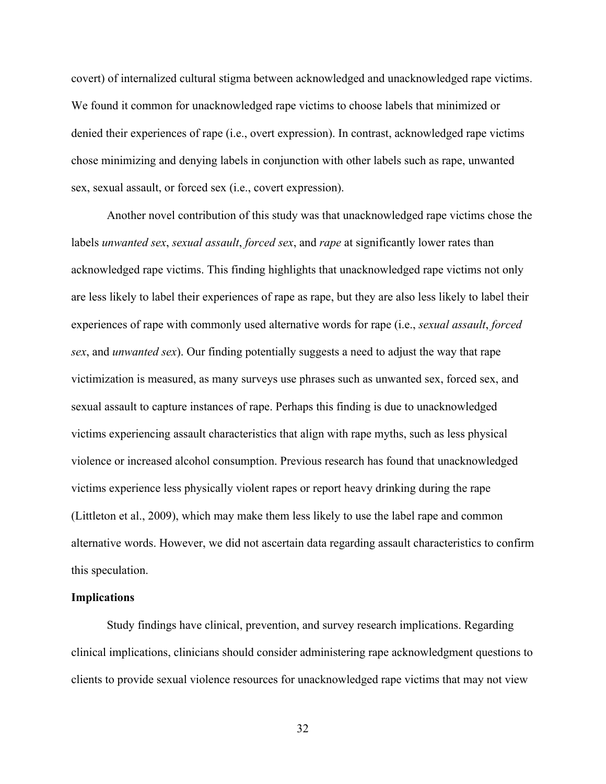covert) of internalized cultural stigma between acknowledged and unacknowledged rape victims. We found it common for unacknowledged rape victims to choose labels that minimized or denied their experiences of rape (i.e., overt expression). In contrast, acknowledged rape victims chose minimizing and denying labels in conjunction with other labels such as rape, unwanted sex, sexual assault, or forced sex (i.e., covert expression).

Another novel contribution of this study was that unacknowledged rape victims chose the labels *unwanted sex*, *sexual assault*, *forced sex*, and *rape* at significantly lower rates than acknowledged rape victims. This finding highlights that unacknowledged rape victims not only are less likely to label their experiences of rape as rape, but they are also less likely to label their experiences of rape with commonly used alternative words for rape (i.e., *sexual assault*, *forced sex*, and *unwanted sex*). Our finding potentially suggests a need to adjust the way that rape victimization is measured, as many surveys use phrases such as unwanted sex, forced sex, and sexual assault to capture instances of rape. Perhaps this finding is due to unacknowledged victims experiencing assault characteristics that align with rape myths, such as less physical violence or increased alcohol consumption. Previous research has found that unacknowledged victims experience less physically violent rapes or report heavy drinking during the rape (Littleton et al., 2009), which may make them less likely to use the label rape and common alternative words. However, we did not ascertain data regarding assault characteristics to confirm this speculation.

#### **Implications**

Study findings have clinical, prevention, and survey research implications. Regarding clinical implications, clinicians should consider administering rape acknowledgment questions to clients to provide sexual violence resources for unacknowledged rape victims that may not view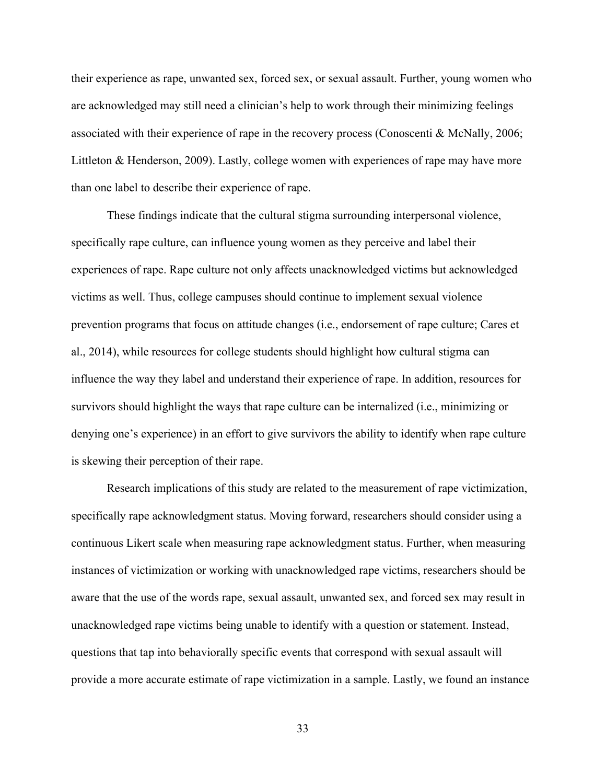their experience as rape, unwanted sex, forced sex, or sexual assault. Further, young women who are acknowledged may still need a clinician's help to work through their minimizing feelings associated with their experience of rape in the recovery process (Conoscenti & McNally, 2006; Littleton & Henderson, 2009). Lastly, college women with experiences of rape may have more than one label to describe their experience of rape.

These findings indicate that the cultural stigma surrounding interpersonal violence, specifically rape culture, can influence young women as they perceive and label their experiences of rape. Rape culture not only affects unacknowledged victims but acknowledged victims as well. Thus, college campuses should continue to implement sexual violence prevention programs that focus on attitude changes (i.e., endorsement of rape culture; Cares et al., 2014), while resources for college students should highlight how cultural stigma can influence the way they label and understand their experience of rape. In addition, resources for survivors should highlight the ways that rape culture can be internalized (i.e., minimizing or denying one's experience) in an effort to give survivors the ability to identify when rape culture is skewing their perception of their rape.

Research implications of this study are related to the measurement of rape victimization, specifically rape acknowledgment status. Moving forward, researchers should consider using a continuous Likert scale when measuring rape acknowledgment status. Further, when measuring instances of victimization or working with unacknowledged rape victims, researchers should be aware that the use of the words rape, sexual assault, unwanted sex, and forced sex may result in unacknowledged rape victims being unable to identify with a question or statement. Instead, questions that tap into behaviorally specific events that correspond with sexual assault will provide a more accurate estimate of rape victimization in a sample. Lastly, we found an instance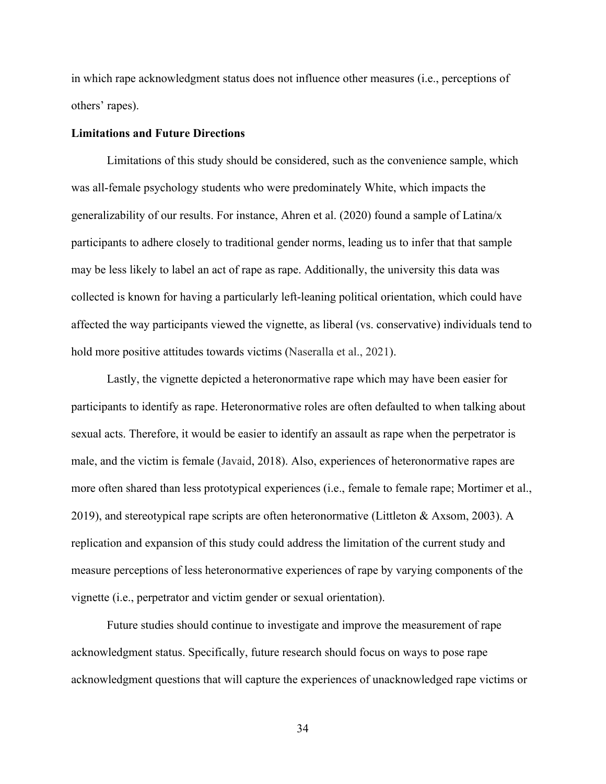in which rape acknowledgment status does not influence other measures (i.e., perceptions of others' rapes).

#### **Limitations and Future Directions**

Limitations of this study should be considered, such as the convenience sample, which was all-female psychology students who were predominately White, which impacts the generalizability of our results. For instance, Ahren et al. (2020) found a sample of Latina/x participants to adhere closely to traditional gender norms, leading us to infer that that sample may be less likely to label an act of rape as rape. Additionally, the university this data was collected is known for having a particularly left-leaning political orientation, which could have affected the way participants viewed the vignette, as liberal (vs. conservative) individuals tend to hold more positive attitudes towards victims (Naseralla et al., 2021).

Lastly, the vignette depicted a heteronormative rape which may have been easier for participants to identify as rape. Heteronormative roles are often defaulted to when talking about sexual acts. Therefore, it would be easier to identify an assault as rape when the perpetrator is male, and the victim is female (Javaid, 2018). Also, experiences of heteronormative rapes are more often shared than less prototypical experiences (i.e., female to female rape; Mortimer et al., 2019), and stereotypical rape scripts are often heteronormative (Littleton & Axsom, 2003). A replication and expansion of this study could address the limitation of the current study and measure perceptions of less heteronormative experiences of rape by varying components of the vignette (i.e., perpetrator and victim gender or sexual orientation).

Future studies should continue to investigate and improve the measurement of rape acknowledgment status. Specifically, future research should focus on ways to pose rape acknowledgment questions that will capture the experiences of unacknowledged rape victims or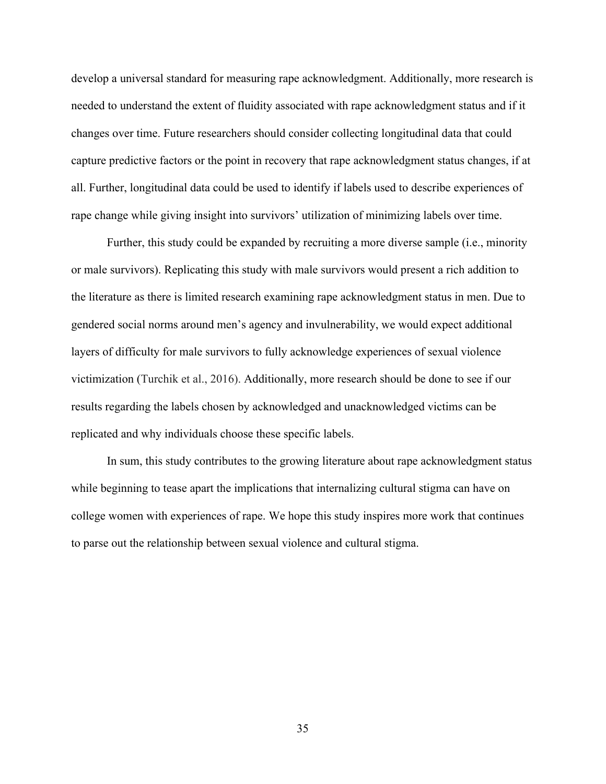develop a universal standard for measuring rape acknowledgment. Additionally, more research is needed to understand the extent of fluidity associated with rape acknowledgment status and if it changes over time. Future researchers should consider collecting longitudinal data that could capture predictive factors or the point in recovery that rape acknowledgment status changes, if at all. Further, longitudinal data could be used to identify if labels used to describe experiences of rape change while giving insight into survivors' utilization of minimizing labels over time.

Further, this study could be expanded by recruiting a more diverse sample (i.e., minority or male survivors). Replicating this study with male survivors would present a rich addition to the literature as there is limited research examining rape acknowledgment status in men. Due to gendered social norms around men's agency and invulnerability, we would expect additional layers of difficulty for male survivors to fully acknowledge experiences of sexual violence victimization (Turchik et al., 2016). Additionally, more research should be done to see if our results regarding the labels chosen by acknowledged and unacknowledged victims can be replicated and why individuals choose these specific labels.

In sum, this study contributes to the growing literature about rape acknowledgment status while beginning to tease apart the implications that internalizing cultural stigma can have on college women with experiences of rape. We hope this study inspires more work that continues to parse out the relationship between sexual violence and cultural stigma.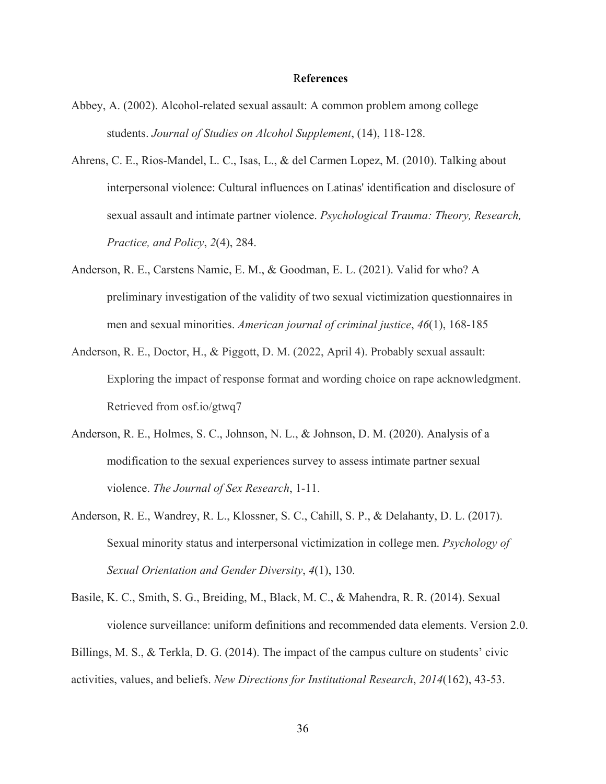#### R**eferences**

- Abbey, A. (2002). Alcohol-related sexual assault: A common problem among college students. *Journal of Studies on Alcohol Supplement*, (14), 118-128.
- Ahrens, C. E., Rios-Mandel, L. C., Isas, L., & del Carmen Lopez, M. (2010). Talking about interpersonal violence: Cultural influences on Latinas' identification and disclosure of sexual assault and intimate partner violence. *Psychological Trauma: Theory, Research, Practice, and Policy*, *2*(4), 284.
- Anderson, R. E., Carstens Namie, E. M., & Goodman, E. L. (2021). Valid for who? A preliminary investigation of the validity of two sexual victimization questionnaires in men and sexual minorities. *American journal of criminal justice*, *46*(1), 168-185
- Anderson, R. E., Doctor, H., & Piggott, D. M. (2022, April 4). Probably sexual assault: Exploring the impact of response format and wording choice on rape acknowledgment. Retrieved from osf.io/gtwq7
- Anderson, R. E., Holmes, S. C., Johnson, N. L., & Johnson, D. M. (2020). Analysis of a modification to the sexual experiences survey to assess intimate partner sexual violence. *The Journal of Sex Research*, 1-11.
- Anderson, R. E., Wandrey, R. L., Klossner, S. C., Cahill, S. P., & Delahanty, D. L. (2017). Sexual minority status and interpersonal victimization in college men. *Psychology of Sexual Orientation and Gender Diversity*, *4*(1), 130.

Basile, K. C., Smith, S. G., Breiding, M., Black, M. C., & Mahendra, R. R. (2014). Sexual violence surveillance: uniform definitions and recommended data elements. Version 2.0. Billings, M. S., & Terkla, D. G. (2014). The impact of the campus culture on students' civic

activities, values, and beliefs. *New Directions for Institutional Research*, *2014*(162), 43-53.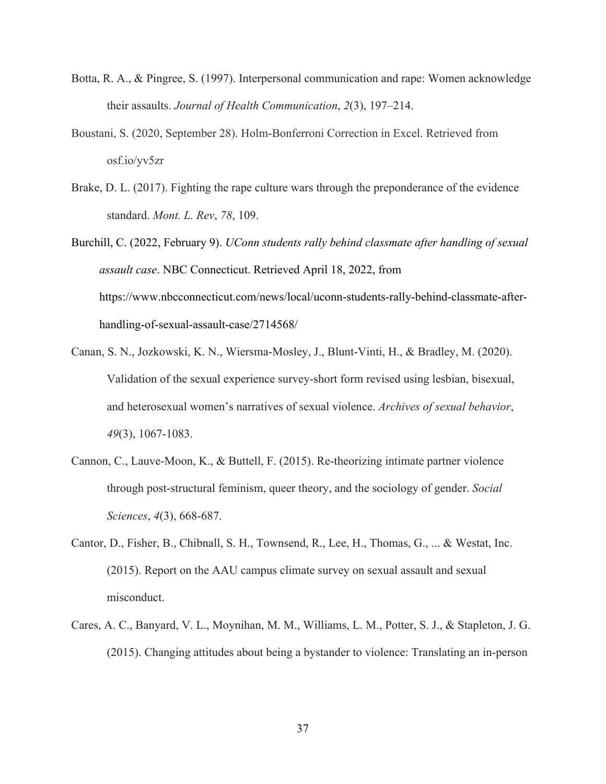- Botta, R. A., & Pingree, S. (1997). Interpersonal communication and rape: Women acknowledge their assaults. *Journal of Health Communication*, *2*(3), 197–214.
- Boustani, S. (2020, September 28). Holm-Bonferroni Correction in Excel. Retrieved from osf.io/yv5zr
- Brake, D. L. (2017). Fighting the rape culture wars through the preponderance of the evidence standard. *Mont. L. Rev*, *78*, 109.
- Burchill, C. (2022, February 9). *UConn students rally behind classmate after handling of sexual assault case*. NBC Connecticut. Retrieved April 18, 2022, from https://www.nbcconnecticut.com/news/local/uconn-students-rally-behind-classmate-afterhandling-of-sexual-assault-case/2714568/
- Canan, S. N., Jozkowski, K. N., Wiersma-Mosley, J., Blunt-Vinti, H., & Bradley, M. (2020). Validation of the sexual experience survey-short form revised using lesbian, bisexual, and heterosexual women's narratives of sexual violence. *Archives of sexual behavior*, *49*(3), 1067-1083.
- Cannon, C., Lauve-Moon, K., & Buttell, F. (2015). Re-theorizing intimate partner violence through post-structural feminism, queer theory, and the sociology of gender. *Social Sciences*, *4*(3), 668-687.
- Cantor, D., Fisher, B., Chibnall, S. H., Townsend, R., Lee, H., Thomas, G., ... & Westat, Inc. (2015). Report on the AAU campus climate survey on sexual assault and sexual misconduct.
- Cares, A. C., Banyard, V. L., Moynihan, M. M., Williams, L. M., Potter, S. J., & Stapleton, J. G. (2015). Changing attitudes about being a bystander to violence: Translating an in-person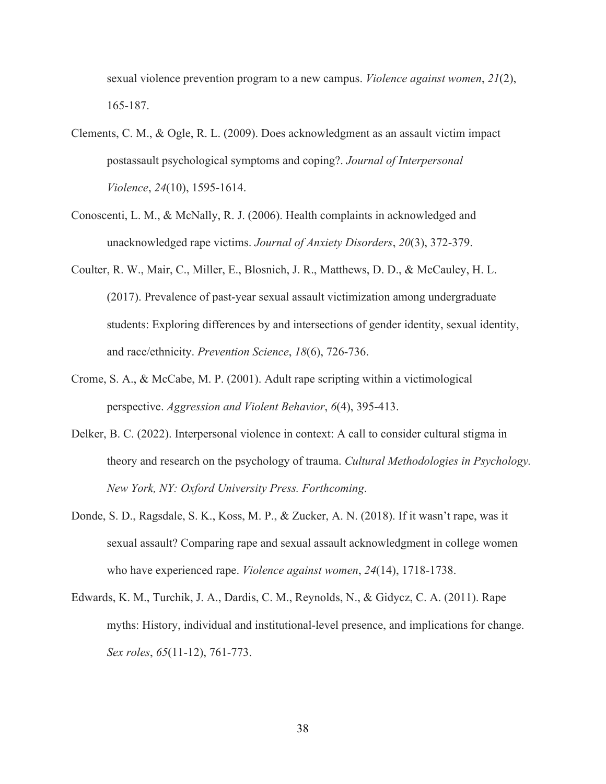sexual violence prevention program to a new campus. *Violence against women*, *21*(2), 165-187.

- Clements, C. M., & Ogle, R. L. (2009). Does acknowledgment as an assault victim impact postassault psychological symptoms and coping?. *Journal of Interpersonal Violence*, *24*(10), 1595-1614.
- Conoscenti, L. M., & McNally, R. J. (2006). Health complaints in acknowledged and unacknowledged rape victims. *Journal of Anxiety Disorders*, *20*(3), 372-379.
- Coulter, R. W., Mair, C., Miller, E., Blosnich, J. R., Matthews, D. D., & McCauley, H. L. (2017). Prevalence of past-year sexual assault victimization among undergraduate students: Exploring differences by and intersections of gender identity, sexual identity, and race/ethnicity. *Prevention Science*, *18*(6), 726-736.
- Crome, S. A., & McCabe, M. P. (2001). Adult rape scripting within a victimological perspective. *Aggression and Violent Behavior*, *6*(4), 395-413.
- Delker, B. C. (2022). Interpersonal violence in context: A call to consider cultural stigma in theory and research on the psychology of trauma. *Cultural Methodologies in Psychology. New York, NY: Oxford University Press. Forthcoming*.
- Donde, S. D., Ragsdale, S. K., Koss, M. P., & Zucker, A. N. (2018). If it wasn't rape, was it sexual assault? Comparing rape and sexual assault acknowledgment in college women who have experienced rape. *Violence against women*, *24*(14), 1718-1738.
- Edwards, K. M., Turchik, J. A., Dardis, C. M., Reynolds, N., & Gidycz, C. A. (2011). Rape myths: History, individual and institutional-level presence, and implications for change. *Sex roles*, *65*(11-12), 761-773.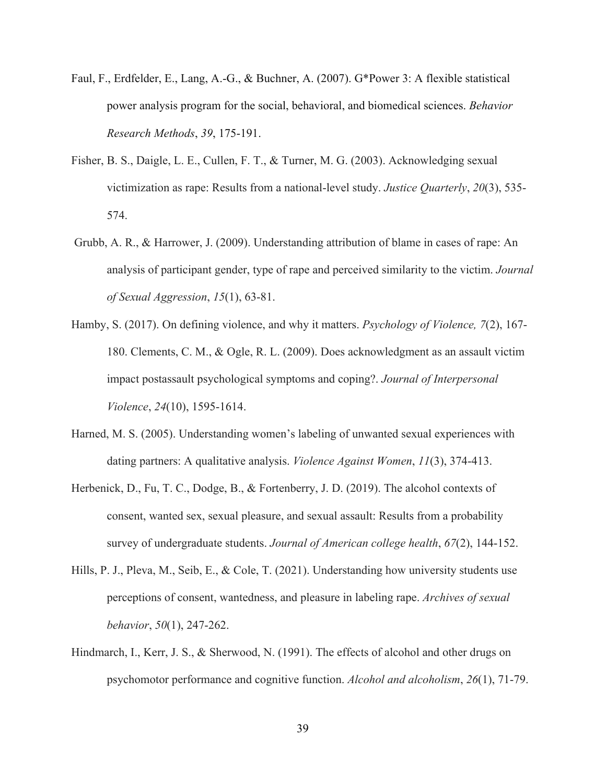- Faul, F., Erdfelder, E., Lang, A.-G., & Buchner, A. (2007). G\*Power 3: A flexible statistical power analysis program for the social, behavioral, and biomedical sciences. *Behavior Research Methods*, *39*, 175-191.
- Fisher, B. S., Daigle, L. E., Cullen, F. T., & Turner, M. G. (2003). Acknowledging sexual victimization as rape: Results from a national-level study. *Justice Quarterly*, *20*(3), 535- 574.
- Grubb, A. R., & Harrower, J. (2009). Understanding attribution of blame in cases of rape: An analysis of participant gender, type of rape and perceived similarity to the victim. *Journal of Sexual Aggression*, *15*(1), 63-81.
- Hamby, S. (2017). On defining violence, and why it matters. *Psychology of Violence, 7*(2), 167- 180. Clements, C. M., & Ogle, R. L. (2009). Does acknowledgment as an assault victim impact postassault psychological symptoms and coping?. *Journal of Interpersonal Violence*, *24*(10), 1595-1614.
- Harned, M. S. (2005). Understanding women's labeling of unwanted sexual experiences with dating partners: A qualitative analysis. *Violence Against Women*, *11*(3), 374-413.
- Herbenick, D., Fu, T. C., Dodge, B., & Fortenberry, J. D. (2019). The alcohol contexts of consent, wanted sex, sexual pleasure, and sexual assault: Results from a probability survey of undergraduate students. *Journal of American college health*, *67*(2), 144-152.
- Hills, P. J., Pleva, M., Seib, E., & Cole, T. (2021). Understanding how university students use perceptions of consent, wantedness, and pleasure in labeling rape. *Archives of sexual behavior*, *50*(1), 247-262.
- Hindmarch, I., Kerr, J. S., & Sherwood, N. (1991). The effects of alcohol and other drugs on psychomotor performance and cognitive function. *Alcohol and alcoholism*, *26*(1), 71-79.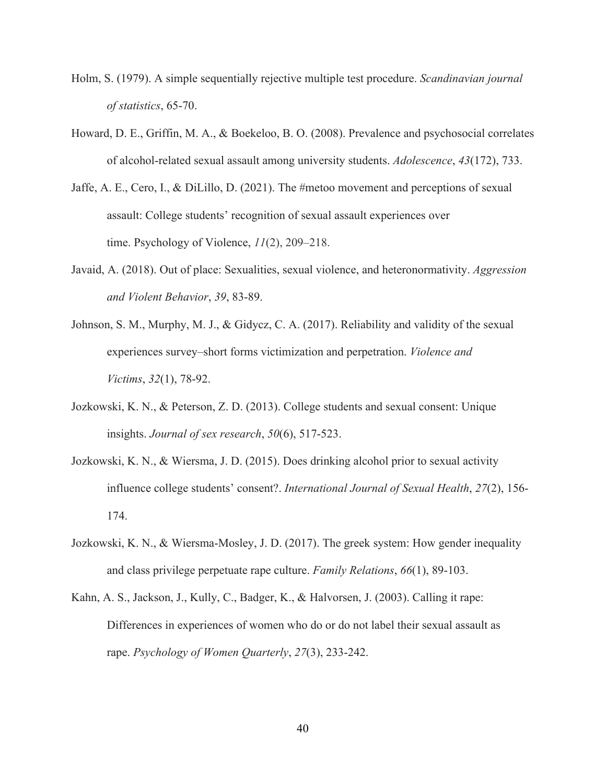- Holm, S. (1979). A simple sequentially rejective multiple test procedure. *Scandinavian journal of statistics*, 65-70.
- Howard, D. E., Griffin, M. A., & Boekeloo, B. O. (2008). Prevalence and psychosocial correlates of alcohol-related sexual assault among university students. *Adolescence*, *43*(172), 733.
- Jaffe, A. E., Cero, I., & DiLillo, D. (2021). The #metoo movement and perceptions of sexual assault: College students' recognition of sexual assault experiences over time. Psychology of Violence, *11*(2), 209–218.
- Javaid, A. (2018). Out of place: Sexualities, sexual violence, and heteronormativity. *Aggression and Violent Behavior*, *39*, 83-89.
- Johnson, S. M., Murphy, M. J., & Gidycz, C. A. (2017). Reliability and validity of the sexual experiences survey–short forms victimization and perpetration. *Violence and Victims*, *32*(1), 78-92.
- Jozkowski, K. N., & Peterson, Z. D. (2013). College students and sexual consent: Unique insights. *Journal of sex research*, *50*(6), 517-523.
- Jozkowski, K. N., & Wiersma, J. D. (2015). Does drinking alcohol prior to sexual activity influence college students' consent?. *International Journal of Sexual Health*, *27*(2), 156- 174.
- Jozkowski, K. N., & Wiersma‐Mosley, J. D. (2017). The greek system: How gender inequality and class privilege perpetuate rape culture. *Family Relations*, *66*(1), 89-103.
- Kahn, A. S., Jackson, J., Kully, C., Badger, K., & Halvorsen, J. (2003). Calling it rape: Differences in experiences of women who do or do not label their sexual assault as rape. *Psychology of Women Quarterly*, *27*(3), 233-242.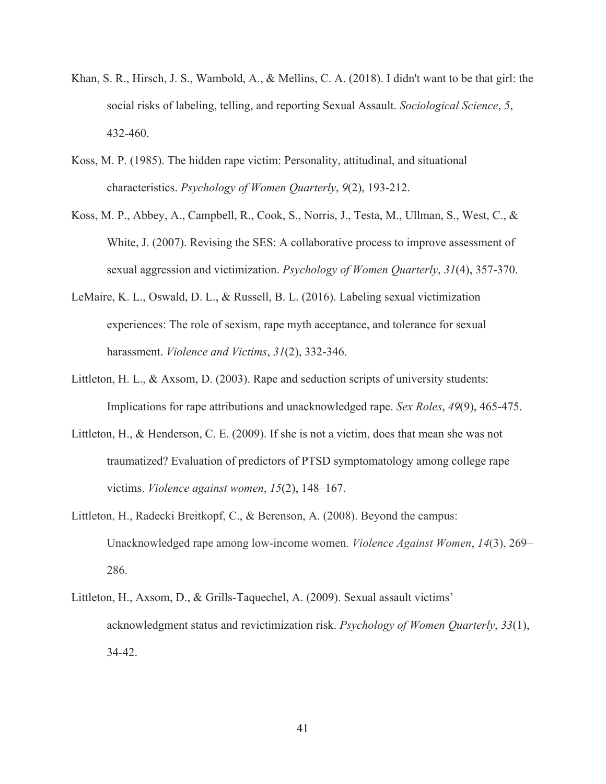- Khan, S. R., Hirsch, J. S., Wambold, A., & Mellins, C. A. (2018). I didn't want to be that girl: the social risks of labeling, telling, and reporting Sexual Assault. *Sociological Science*, *5*, 432-460.
- Koss, M. P. (1985). The hidden rape victim: Personality, attitudinal, and situational characteristics. *Psychology of Women Quarterly*, *9*(2), 193-212.
- Koss, M. P., Abbey, A., Campbell, R., Cook, S., Norris, J., Testa, M., Ullman, S., West, C., & White, J. (2007). Revising the SES: A collaborative process to improve assessment of sexual aggression and victimization. *Psychology of Women Quarterly*, *31*(4), 357-370.
- LeMaire, K. L., Oswald, D. L., & Russell, B. L. (2016). Labeling sexual victimization experiences: The role of sexism, rape myth acceptance, and tolerance for sexual harassment. *Violence and Victims*, *31*(2), 332-346.
- Littleton, H. L., & Axsom, D. (2003). Rape and seduction scripts of university students: Implications for rape attributions and unacknowledged rape. *Sex Roles*, *49*(9), 465-475.
- Littleton, H., & Henderson, C. E. (2009). If she is not a victim, does that mean she was not traumatized? Evaluation of predictors of PTSD symptomatology among college rape victims. *Violence against women*, *15*(2), 148–167.
- Littleton, H., Radecki Breitkopf, C., & Berenson, A. (2008). Beyond the campus: Unacknowledged rape among low-income women. *Violence Against Women*, *14*(3), 269– 286.
- Littleton, H., Axsom, D., & Grills-Taquechel, A. (2009). Sexual assault victims' acknowledgment status and revictimization risk. *Psychology of Women Quarterly*, *33*(1), 34-42.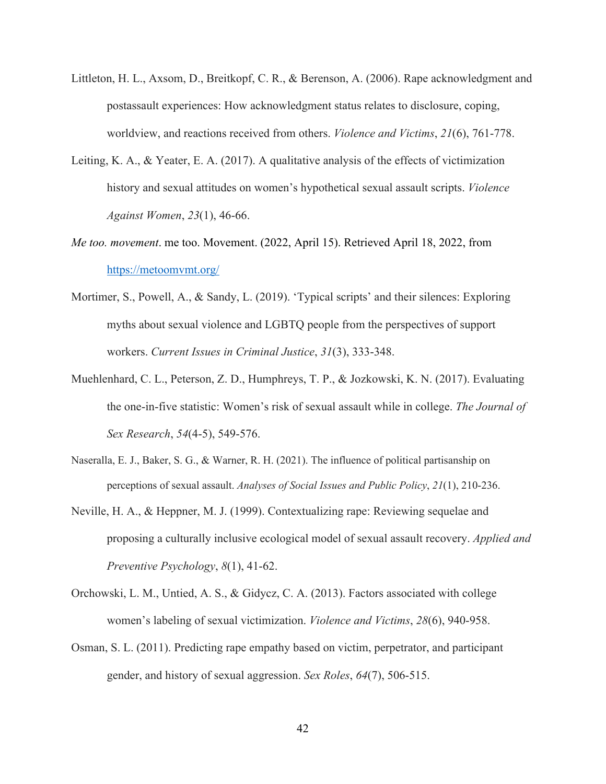- Littleton, H. L., Axsom, D., Breitkopf, C. R., & Berenson, A. (2006). Rape acknowledgment and postassault experiences: How acknowledgment status relates to disclosure, coping, worldview, and reactions received from others. *Violence and Victims*, *21*(6), 761-778.
- Leiting, K. A., & Yeater, E. A. (2017). A qualitative analysis of the effects of victimization history and sexual attitudes on women's hypothetical sexual assault scripts. *Violence Against Women*, *23*(1), 46-66.
- *Me too. movement*. me too. Movement. (2022, April 15). Retrieved April 18, 2022, from https://metoomvmt.org/
- Mortimer, S., Powell, A., & Sandy, L. (2019). 'Typical scripts' and their silences: Exploring myths about sexual violence and LGBTQ people from the perspectives of support workers. *Current Issues in Criminal Justice*, *31*(3), 333-348.
- Muehlenhard, C. L., Peterson, Z. D., Humphreys, T. P., & Jozkowski, K. N. (2017). Evaluating the one-in-five statistic: Women's risk of sexual assault while in college. *The Journal of Sex Research*, *54*(4-5), 549-576.
- Naseralla, E. J., Baker, S. G., & Warner, R. H. (2021). The influence of political partisanship on perceptions of sexual assault. *Analyses of Social Issues and Public Policy*, *21*(1), 210-236.
- Neville, H. A., & Heppner, M. J. (1999). Contextualizing rape: Reviewing sequelae and proposing a culturally inclusive ecological model of sexual assault recovery. *Applied and Preventive Psychology*, *8*(1), 41-62.
- Orchowski, L. M., Untied, A. S., & Gidycz, C. A. (2013). Factors associated with college women's labeling of sexual victimization. *Violence and Victims*, *28*(6), 940-958.
- Osman, S. L. (2011). Predicting rape empathy based on victim, perpetrator, and participant gender, and history of sexual aggression. *Sex Roles*, *64*(7), 506-515.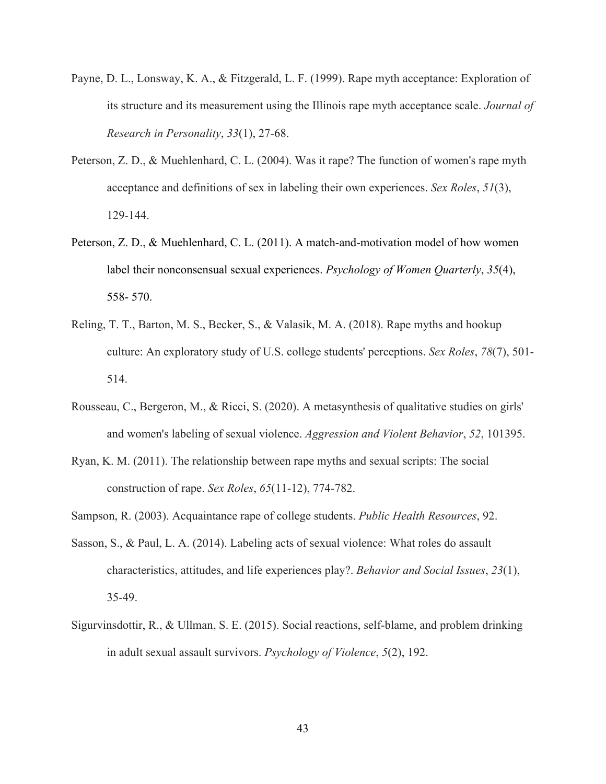- Payne, D. L., Lonsway, K. A., & Fitzgerald, L. F. (1999). Rape myth acceptance: Exploration of its structure and its measurement using the Illinois rape myth acceptance scale. *Journal of Research in Personality*, *33*(1), 27-68.
- Peterson, Z. D., & Muehlenhard, C. L. (2004). Was it rape? The function of women's rape myth acceptance and definitions of sex in labeling their own experiences. *Sex Roles*, *51*(3), 129-144.
- Peterson, Z. D., & Muehlenhard, C. L. (2011). A match-and-motivation model of how women label their nonconsensual sexual experiences. *Psychology of Women Quarterly*, *35*(4), 558- 570.
- Reling, T. T., Barton, M. S., Becker, S., & Valasik, M. A. (2018). Rape myths and hookup culture: An exploratory study of U.S. college students' perceptions. *Sex Roles*, *78*(7), 501- 514.
- Rousseau, C., Bergeron, M., & Ricci, S. (2020). A metasynthesis of qualitative studies on girls' and women's labeling of sexual violence. *Aggression and Violent Behavior*, *52*, 101395.
- Ryan, K. M. (2011). The relationship between rape myths and sexual scripts: The social construction of rape. *Sex Roles*, *65*(11-12), 774-782.
- Sampson, R. (2003). Acquaintance rape of college students. *Public Health Resources*, 92.
- Sasson, S., & Paul, L. A. (2014). Labeling acts of sexual violence: What roles do assault characteristics, attitudes, and life experiences play?. *Behavior and Social Issues*, *23*(1), 35-49.
- Sigurvinsdottir, R., & Ullman, S. E. (2015). Social reactions, self-blame, and problem drinking in adult sexual assault survivors. *Psychology of Violence*, *5*(2), 192.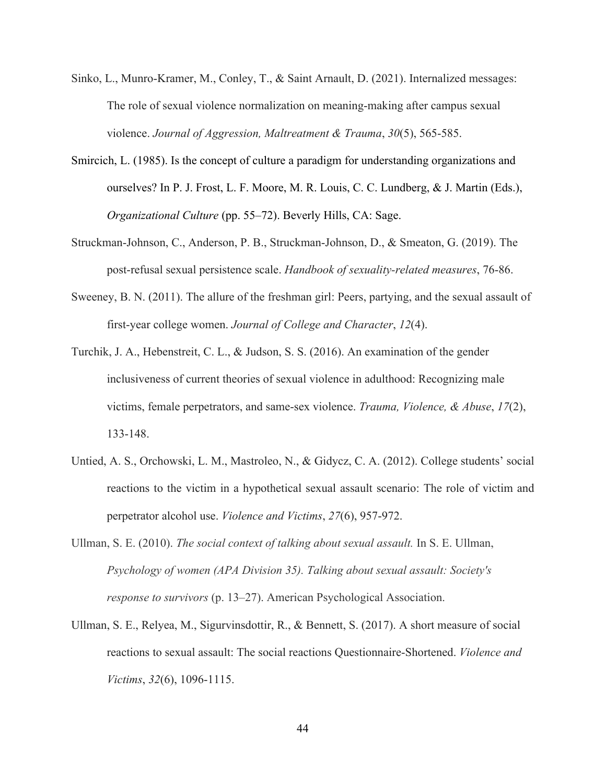- Sinko, L., Munro-Kramer, M., Conley, T., & Saint Arnault, D. (2021). Internalized messages: The role of sexual violence normalization on meaning-making after campus sexual violence. *Journal of Aggression, Maltreatment & Trauma*, *30*(5), 565-585.
- Smircich, L. (1985). Is the concept of culture a paradigm for understanding organizations and ourselves? In P. J. Frost, L. F. Moore, M. R. Louis, C. C. Lundberg, & J. Martin (Eds.), *Organizational Culture* (pp. 55–72). Beverly Hills, CA: Sage.
- Struckman-Johnson, C., Anderson, P. B., Struckman‐Johnson, D., & Smeaton, G. (2019). The post-refusal sexual persistence scale. *Handbook of sexuality-related measures*, 76-86.
- Sweeney, B. N. (2011). The allure of the freshman girl: Peers, partying, and the sexual assault of first-year college women. *Journal of College and Character*, *12*(4).
- Turchik, J. A., Hebenstreit, C. L., & Judson, S. S. (2016). An examination of the gender inclusiveness of current theories of sexual violence in adulthood: Recognizing male victims, female perpetrators, and same-sex violence. *Trauma, Violence, & Abuse*, *17*(2), 133-148.
- Untied, A. S., Orchowski, L. M., Mastroleo, N., & Gidycz, C. A. (2012). College students' social reactions to the victim in a hypothetical sexual assault scenario: The role of victim and perpetrator alcohol use. *Violence and Victims*, *27*(6), 957-972.
- Ullman, S. E. (2010). *The social context of talking about sexual assault.* In S. E. Ullman, *Psychology of women (APA Division 35). Talking about sexual assault: Society's response to survivors* (p. 13–27). American Psychological Association.
- Ullman, S. E., Relyea, M., Sigurvinsdottir, R., & Bennett, S. (2017). A short measure of social reactions to sexual assault: The social reactions Questionnaire-Shortened. *Violence and Victims*, *32*(6), 1096-1115.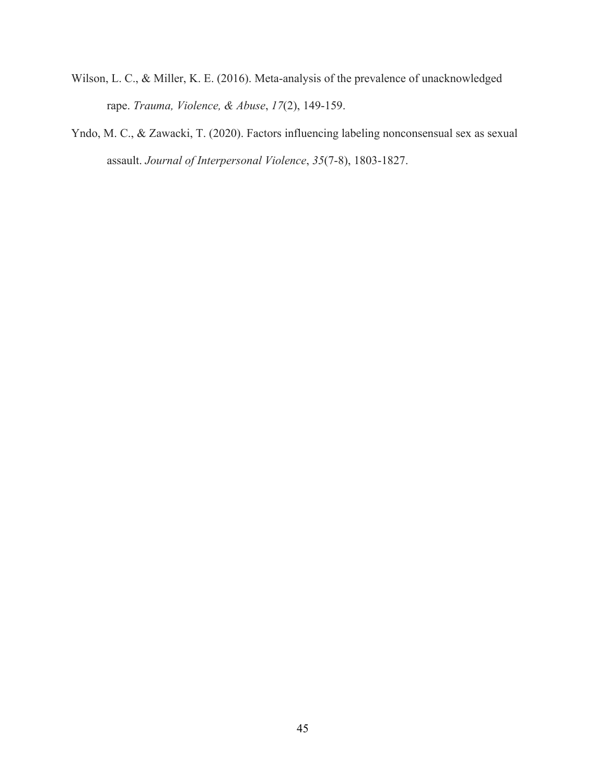- Wilson, L. C., & Miller, K. E. (2016). Meta-analysis of the prevalence of unacknowledged rape. *Trauma, Violence, & Abuse*, *17*(2), 149-159.
- Yndo, M. C., & Zawacki, T. (2020). Factors influencing labeling nonconsensual sex as sexual assault. *Journal of Interpersonal Violence*, *35*(7-8), 1803-1827.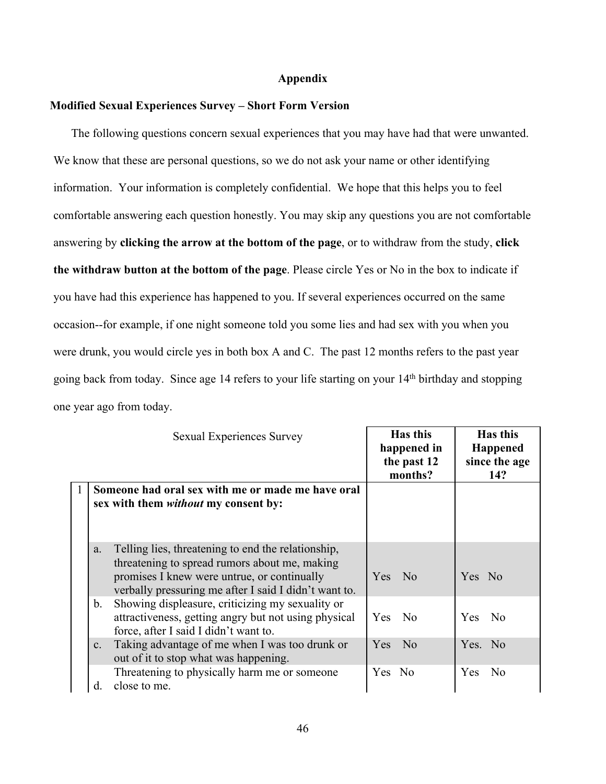#### **Appendix**

### **Modified Sexual Experiences Survey – Short Form Version**

The following questions concern sexual experiences that you may have had that were unwanted. We know that these are personal questions, so we do not ask your name or other identifying information. Your information is completely confidential. We hope that this helps you to feel comfortable answering each question honestly. You may skip any questions you are not comfortable answering by **clicking the arrow at the bottom of the page**, or to withdraw from the study, **click the withdraw button at the bottom of the page**. Please circle Yes or No in the box to indicate if you have had this experience has happened to you. If several experiences occurred on the same occasion--for example, if one night someone told you some lies and had sex with you when you were drunk, you would circle yes in both box A and C. The past 12 months refers to the past year going back from today. Since age 14 refers to your life starting on your 14th birthday and stopping one year ago from today.

|   |                | Sexual Experiences Survey                                                                                                                                                                                   | Has this<br>happened in<br>the past 12<br>months? | Has this<br><b>Happened</b><br>since the age<br>14? |
|---|----------------|-------------------------------------------------------------------------------------------------------------------------------------------------------------------------------------------------------------|---------------------------------------------------|-----------------------------------------------------|
| 1 |                | Someone had oral sex with me or made me have oral<br>sex with them <i>without</i> my consent by:                                                                                                            |                                                   |                                                     |
|   | a.             | Telling lies, threatening to end the relationship,<br>threatening to spread rumors about me, making<br>promises I knew were untrue, or continually<br>verbally pressuring me after I said I didn't want to. | Yes No                                            | Yes No                                              |
|   | $\mathbf{b}$ . | Showing displeasure, criticizing my sexuality or<br>attractiveness, getting angry but not using physical<br>force, after I said I didn't want to.                                                           | Yes No                                            | No.<br>Yes.                                         |
|   | c.             | Taking advantage of me when I was too drunk or<br>out of it to stop what was happening.                                                                                                                     | N <sub>o</sub><br>Yes.                            | Yes. No                                             |
|   | d.             | Threatening to physically harm me or someone<br>close to me.                                                                                                                                                | Yes No                                            | N <sub>o</sub><br><b>Yes</b>                        |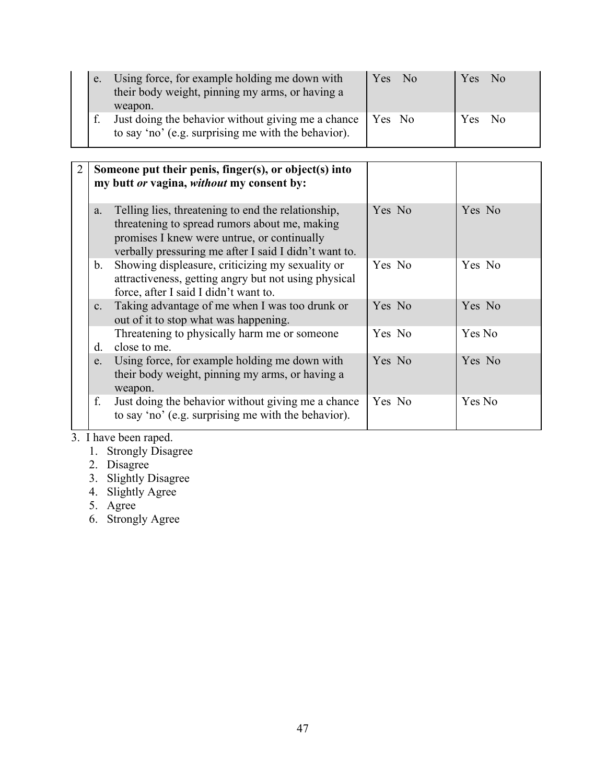|  | e. Using force, for example holding me down with<br>their body weight, pinning my arms, or having a<br>weapon.     | Yes No | Yes No |  |
|--|--------------------------------------------------------------------------------------------------------------------|--------|--------|--|
|  | Just doing the behavior without giving me a chance   Yes No<br>to say 'no' (e.g. surprising me with the behavior). |        | Yes No |  |

|                | Someone put their penis, finger(s), or object(s) into<br>my butt or vagina, without my consent by:                                                                                                          |        |        |
|----------------|-------------------------------------------------------------------------------------------------------------------------------------------------------------------------------------------------------------|--------|--------|
| a.             | Telling lies, threatening to end the relationship,<br>threatening to spread rumors about me, making<br>promises I knew were untrue, or continually<br>verbally pressuring me after I said I didn't want to. | Yes No | Yes No |
| b.             | Showing displeasure, criticizing my sexuality or<br>attractiveness, getting angry but not using physical<br>force, after I said I didn't want to.                                                           | Yes No | Yes No |
| C <sub>1</sub> | Taking advantage of me when I was too drunk or<br>out of it to stop what was happening.                                                                                                                     | Yes No | Yes No |
| $d_{\cdot}$    | Threatening to physically harm me or someone<br>close to me.                                                                                                                                                | Yes No | Yes No |
| e.             | Using force, for example holding me down with<br>their body weight, pinning my arms, or having a<br>weapon.                                                                                                 | Yes No | Yes No |
| f.             | Just doing the behavior without giving me a chance<br>to say 'no' (e.g. surprising me with the behavior).                                                                                                   | Yes No | Yes No |

3. I have been raped.

1. Strongly Disagree

2. Disagree

3. Slightly Disagree

4. Slightly Agree

5. Agree

6. Strongly Agree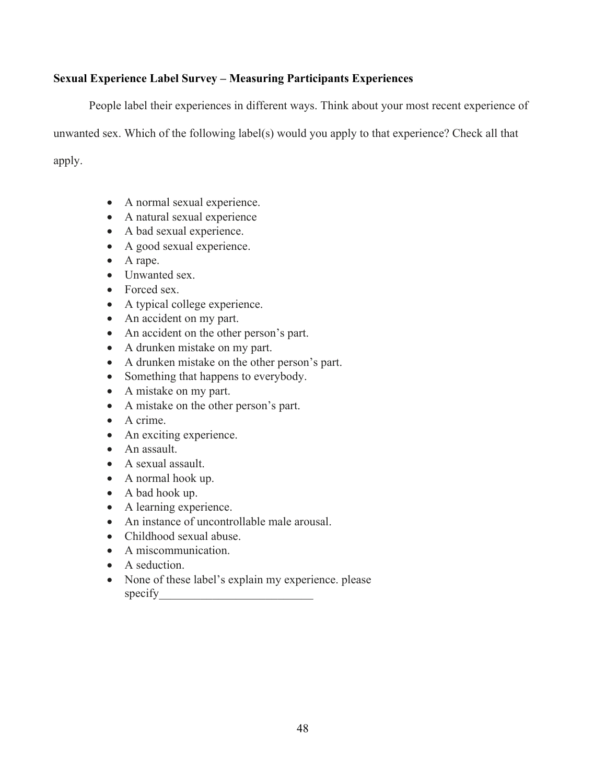## **Sexual Experience Label Survey – Measuring Participants Experiences**

People label their experiences in different ways. Think about your most recent experience of unwanted sex. Which of the following label(s) would you apply to that experience? Check all that apply.

- A normal sexual experience.
- A natural sexual experience
- A bad sexual experience.
- A good sexual experience.
- A rape.
- Unwanted sex.
- Forced sex.
- A typical college experience.
- An accident on my part.
- An accident on the other person's part.
- A drunken mistake on my part.
- A drunken mistake on the other person's part.
- Something that happens to everybody.
- A mistake on my part.
- A mistake on the other person's part.
- A crime.
- An exciting experience.
- An assault.
- A sexual assault.
- A normal hook up.
- A bad hook up.
- A learning experience.
- An instance of uncontrollable male arousal.
- Childhood sexual abuse.
- A miscommunication.
- A seduction.
- None of these label's explain my experience. please specify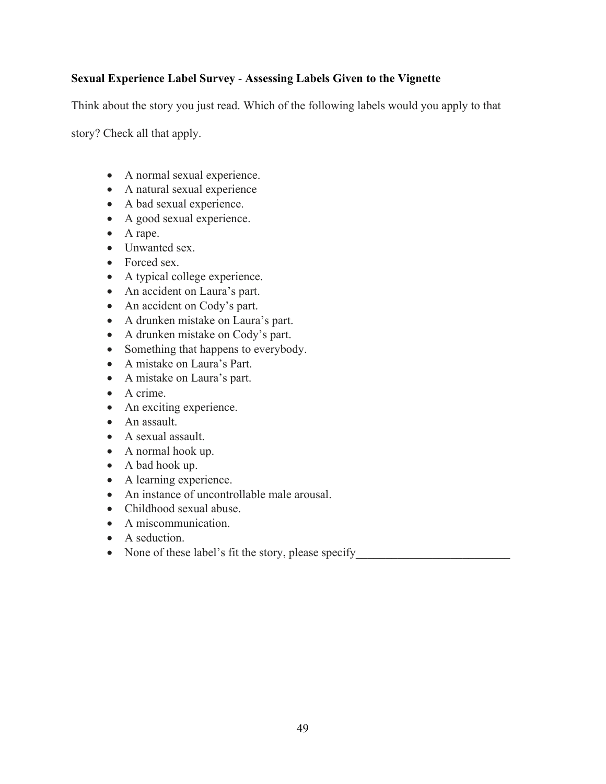## **Sexual Experience Label Survey** - **Assessing Labels Given to the Vignette**

Think about the story you just read. Which of the following labels would you apply to that

story? Check all that apply.

- A normal sexual experience.
- A natural sexual experience
- A bad sexual experience.
- A good sexual experience.
- A rape.
- Unwanted sex.
- Forced sex.
- A typical college experience.
- An accident on Laura's part.
- An accident on Cody's part.
- A drunken mistake on Laura's part.
- A drunken mistake on Cody's part.
- Something that happens to everybody.
- A mistake on Laura's Part.
- A mistake on Laura's part.
- A crime.
- An exciting experience.
- An assault.
- A sexual assault.
- A normal hook up.
- A bad hook up.
- A learning experience.
- An instance of uncontrollable male arousal.
- Childhood sexual abuse.
- A miscommunication.
- A seduction.
- None of these label's fit the story, please specify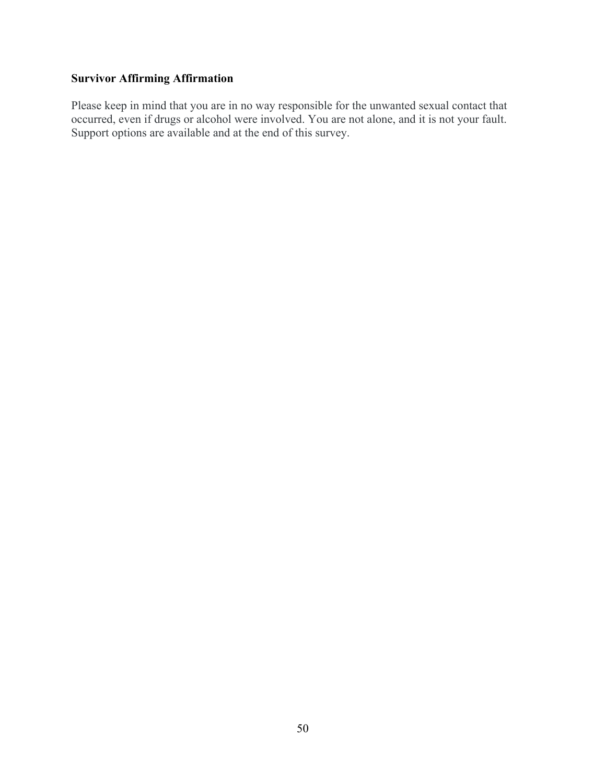# **Survivor Affirming Affirmation**

Please keep in mind that you are in no way responsible for the unwanted sexual contact that occurred, even if drugs or alcohol were involved. You are not alone, and it is not your fault. Support options are available and at the end of this survey.